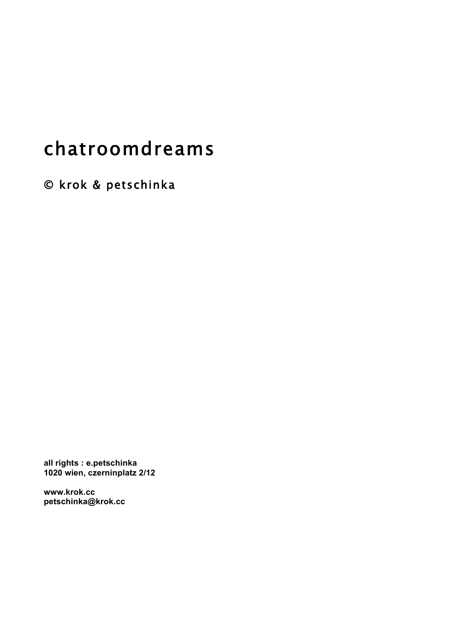# chatroomdreams

© krok & petschinka

**all rights : e.petschinka 1020 wien, czerninplatz 2/12**

**www.krok.cc petschinka@krok.cc**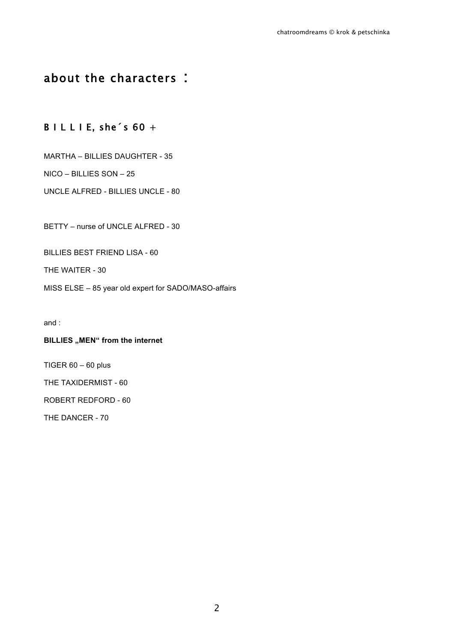# about the characters :

### B I L L I E, she's  $60 +$

MARTHA – BILLIES DAUGHTER - 35

NICO – BILLIES SON – 25

UNCLE ALFRED - BILLIES UNCLE - 80

BETTY – nurse of UNCLE ALFRED - 30

BILLIES BEST FRIEND LISA - 60

THE WAITER - 30

MISS ELSE – 85 year old expert for SADO/MASO-affairs

and :

#### **BILLIES** "MEN" from the internet

TIGER  $60 - 60$  plus

THE TAXIDERMIST - 60

ROBERT REDFORD - 60

THE DANCER - 70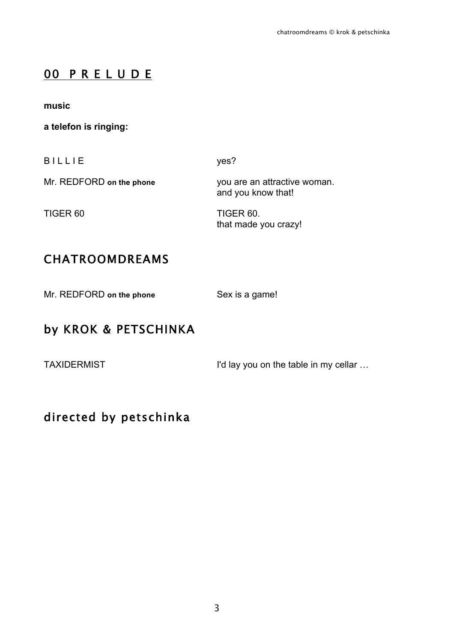# 00 P R E L U D E

**music**

**a telefon is ringing:**

B I L L I E yes?

Mr. REDFORD **on the phone** you are an attractive woman. and you know that!

TIGER 60 TIGER 60. that made you crazy!

# CHATROOMDREAMS

Mr. REDFORD on the phone Sex is a game!

# by KROK & PETSCHINKA

TAXIDERMIST **I'd lay you on the table in my cellar ...** 

# directed by petschinka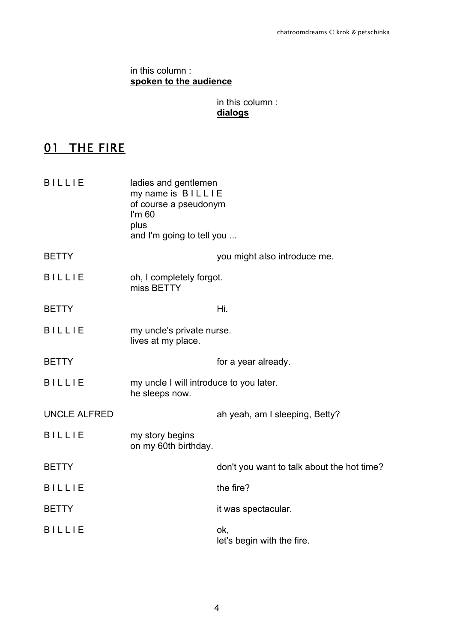### in this column : **spoken to the audience**

### in this column : **dialogs**

# **01 THE FIRE**

| <b>BILLIE</b>       | ladies and gentlemen<br>my name is <b>BILLIE</b><br>of course a pseudonym<br>$\mathsf{I}'\mathsf{m}$ 60<br>plus<br>and I'm going to tell you |                                            |
|---------------------|----------------------------------------------------------------------------------------------------------------------------------------------|--------------------------------------------|
| <b>BETTY</b>        |                                                                                                                                              | you might also introduce me.               |
| <b>BILLIE</b>       | oh, I completely forgot.<br>miss BETTY                                                                                                       |                                            |
| <b>BETTY</b>        |                                                                                                                                              | Hi.                                        |
| <b>BILLIE</b>       | my uncle's private nurse.<br>lives at my place.                                                                                              |                                            |
| <b>BETTY</b>        |                                                                                                                                              | for a year already.                        |
| <b>BILLIE</b>       | my uncle I will introduce to you later.<br>he sleeps now.                                                                                    |                                            |
| <b>UNCLE ALFRED</b> |                                                                                                                                              | ah yeah, am I sleeping, Betty?             |
| <b>BILLIE</b>       | my story begins<br>on my 60th birthday.                                                                                                      |                                            |
| <b>BETTY</b>        |                                                                                                                                              | don't you want to talk about the hot time? |
| <b>BILLIE</b>       |                                                                                                                                              | the fire?                                  |
| <b>BETTY</b>        |                                                                                                                                              | it was spectacular.                        |
| <b>BILLIE</b>       |                                                                                                                                              | ok,<br>let's begin with the fire.          |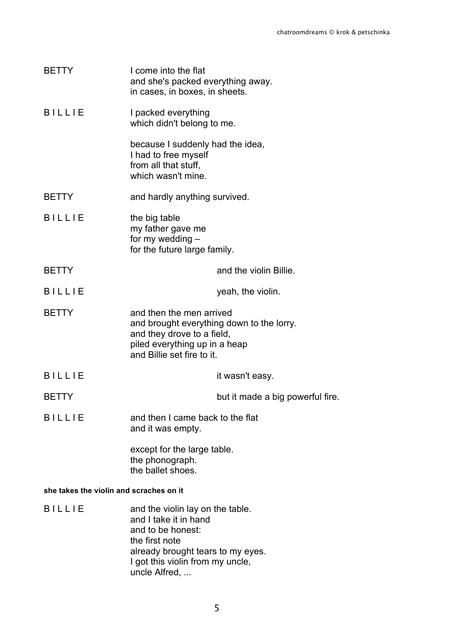| BETTY                                   | I come into the flat<br>and she's packed everything away.<br>in cases, in boxes, in sheets.                                                                        |                                  |
|-----------------------------------------|--------------------------------------------------------------------------------------------------------------------------------------------------------------------|----------------------------------|
| <b>BILLIE</b>                           | I packed everything<br>which didn't belong to me.                                                                                                                  |                                  |
|                                         | because I suddenly had the idea,<br>I had to free myself<br>from all that stuff,<br>which wasn't mine.                                                             |                                  |
| <b>BETTY</b>                            | and hardly anything survived.                                                                                                                                      |                                  |
| <b>BILLIE</b>                           | the big table<br>my father gave me<br>for my wedding -<br>for the future large family.                                                                             |                                  |
| <b>BETTY</b>                            |                                                                                                                                                                    | and the violin Billie.           |
| <b>BILLIE</b>                           |                                                                                                                                                                    | yeah, the violin.                |
| <b>BETTY</b>                            | and then the men arrived<br>and brought everything down to the lorry.<br>and they drove to a field,<br>piled everything up in a heap<br>and Billie set fire to it. |                                  |
| <b>BILLIE</b>                           |                                                                                                                                                                    | it wasn't easy.                  |
| <b>BETTY</b>                            |                                                                                                                                                                    | but it made a big powerful fire. |
| BILLIE                                  | and then I came back to the flat<br>and it was empty.                                                                                                              |                                  |
|                                         | except for the large table.<br>the phonograph.<br>the ballet shoes.                                                                                                |                                  |
| she takes the violin and scraches on it |                                                                                                                                                                    |                                  |
| <b>BILLIE</b>                           | and the violin lay on the table.<br>and I take it in hand<br>and to be honest:                                                                                     |                                  |

the first note already brought tears to my eyes. I got this violin from my uncle, uncle Alfred, ...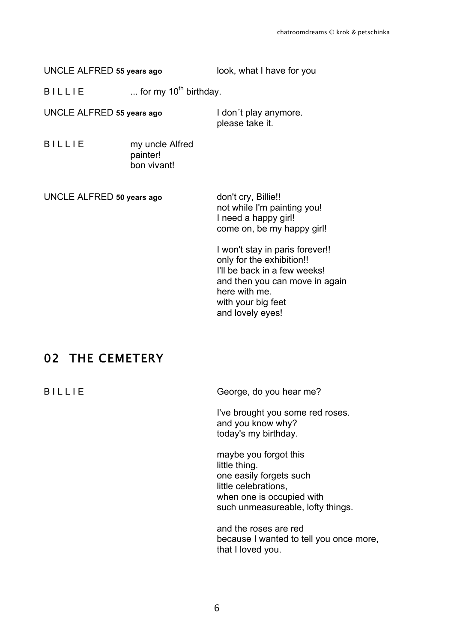UNCLE ALFRED **55 years ago** look, what I have for you

 $B I L L I E$  ... for my 10<sup>th</sup> birthday.

UNCLE ALFRED **55 years ago** I don´t play anymore.

please take it.

B I L L I E my uncle Alfred painter! bon vivant!

UNCLE ALFRED **50 years ago** don't cry, Billie!! not while I'm painting you! I need a happy girl! come on, be my happy girl! I won't stay in paris forever!! only for the exhibition!! I'll be back in a few weeks!

02 THE CEMETERY

B I L L I E George, do you hear me?

I've brought you some red roses. and you know why? today's my birthday.

and then you can move in again

here with me. with your big feet and lovely eyes!

maybe you forgot this little thing. one easily forgets such little celebrations, when one is occupied with such unmeasureable, lofty things.

and the roses are red because I wanted to tell you once more, that I loved you.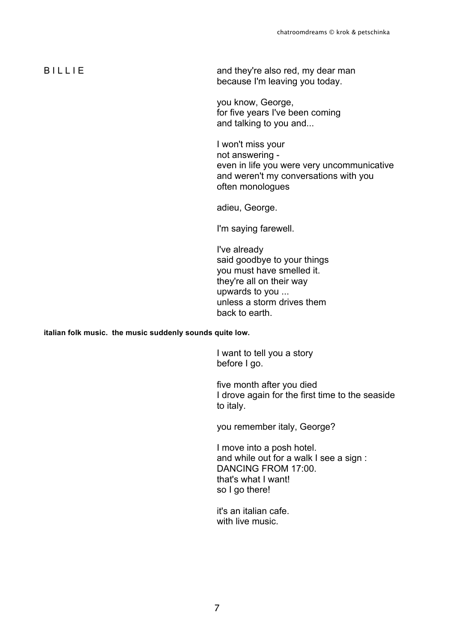B I L L I E and they're also red, my dear man because I'm leaving you today.

> you know, George, for five years I've been coming and talking to you and...

I won't miss your not answering even in life you were very uncommunicative and weren't my conversations with you often monologues

adieu, George.

I'm saying farewell.

I've already said goodbye to your things you must have smelled it. they're all on their way upwards to you ... unless a storm drives them back to earth.

**italian folk music. the music suddenly sounds quite low.**

I want to tell you a story before I go.

five month after you died I drove again for the first time to the seaside to italy.

you remember italy, George?

I move into a posh hotel. and while out for a walk I see a sign : DANCING FROM 17:00. that's what I want! so I go there!

it's an italian cafe. with live music.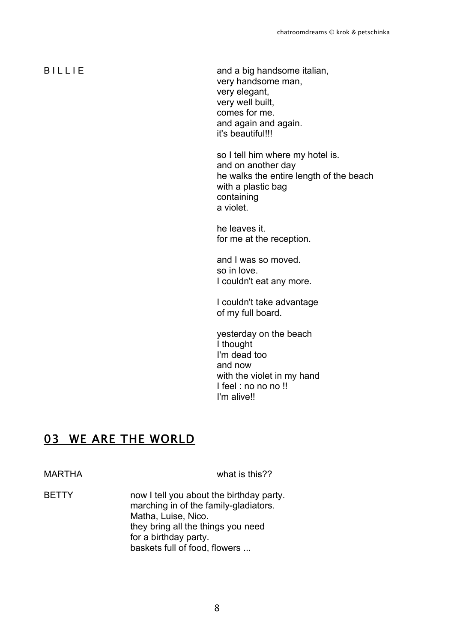B I L L I E and a big handsome italian, very handsome man, very elegant, very well built, comes for me. and again and again. it's beautiful!!!

> so I tell him where my hotel is. and on another day he walks the entire length of the beach with a plastic bag containing a violet.

he leaves it. for me at the reception.

and I was so moved. so in love. I couldn't eat any more.

I couldn't take advantage of my full board.

yesterday on the beach I thought I'm dead too and now with the violet in my hand I feel : no no no !! I'm alive!!

### 03 WE ARE THE WORLD

MARTHA what is this??

BETTY now I tell you about the birthday party. marching in of the family-gladiators. Matha, Luise, Nico. they bring all the things you need for a birthday party. baskets full of food, flowers ...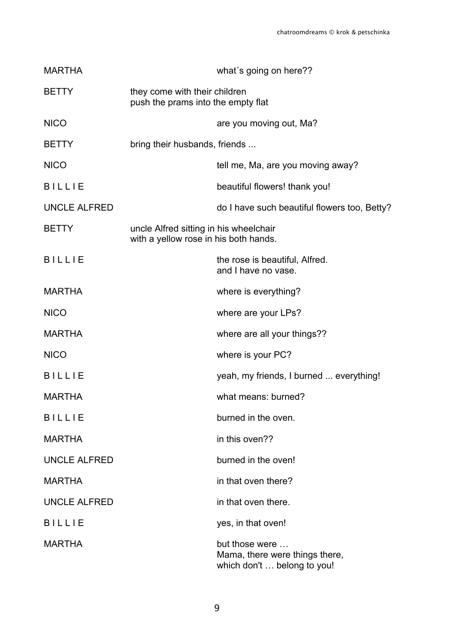| <b>MARTHA</b>       |                                                                                 | what's going on here??                                                          |
|---------------------|---------------------------------------------------------------------------------|---------------------------------------------------------------------------------|
| <b>BETTY</b>        | they come with their children<br>push the prams into the empty flat             |                                                                                 |
| <b>NICO</b>         |                                                                                 | are you moving out, Ma?                                                         |
| <b>BETTY</b>        | bring their husbands, friends                                                   |                                                                                 |
| <b>NICO</b>         |                                                                                 | tell me, Ma, are you moving away?                                               |
| <b>BILLIE</b>       |                                                                                 | beautiful flowers! thank you!                                                   |
| <b>UNCLE ALFRED</b> |                                                                                 | do I have such beautiful flowers too, Betty?                                    |
| <b>BETTY</b>        | uncle Alfred sitting in his wheelchair<br>with a yellow rose in his both hands. |                                                                                 |
| <b>BILLIE</b>       |                                                                                 | the rose is beautiful, Alfred.<br>and I have no vase.                           |
| <b>MARTHA</b>       |                                                                                 | where is everything?                                                            |
| <b>NICO</b>         |                                                                                 | where are your LPs?                                                             |
| <b>MARTHA</b>       |                                                                                 | where are all your things??                                                     |
| <b>NICO</b>         |                                                                                 | where is your PC?                                                               |
| <b>BILLIE</b>       |                                                                                 | yeah, my friends, I burned  everything!                                         |
| <b>MARTHA</b>       |                                                                                 | what means: burned?                                                             |
| <b>BILLIE</b>       |                                                                                 | burned in the oven.                                                             |
| <b>MARTHA</b>       |                                                                                 | in this oven??                                                                  |
| <b>UNCLE ALFRED</b> |                                                                                 | burned in the oven!                                                             |
| <b>MARTHA</b>       |                                                                                 | in that oven there?                                                             |
| <b>UNCLE ALFRED</b> |                                                                                 | in that oven there.                                                             |
| <b>BILLIE</b>       |                                                                                 | yes, in that oven!                                                              |
| <b>MARTHA</b>       |                                                                                 | but those were<br>Mama, there were things there,<br>which don't  belong to you! |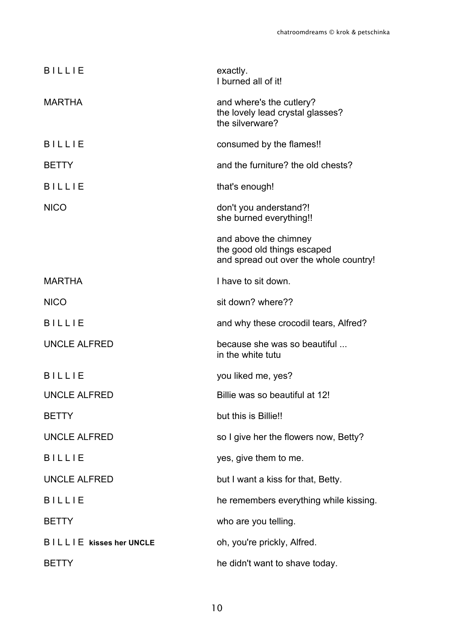| <b>BILLIE</b>           | exactly.<br>I burned all of it!                                                                |
|-------------------------|------------------------------------------------------------------------------------------------|
| <b>MARTHA</b>           | and where's the cutlery?<br>the lovely lead crystal glasses?<br>the silverware?                |
| <b>BILLIE</b>           | consumed by the flames!!                                                                       |
| <b>BETTY</b>            | and the furniture? the old chests?                                                             |
| <b>BILLIE</b>           | that's enough!                                                                                 |
| <b>NICO</b>             | don't you anderstand?!<br>she burned everything!!                                              |
|                         | and above the chimney<br>the good old things escaped<br>and spread out over the whole country! |
| <b>MARTHA</b>           | I have to sit down.                                                                            |
| <b>NICO</b>             | sit down? where??                                                                              |
| <b>BILLIE</b>           | and why these crocodil tears, Alfred?                                                          |
| <b>UNCLE ALFRED</b>     | because she was so beautiful<br>in the white tutu                                              |
| <b>BILLIE</b>           | you liked me, yes?                                                                             |
| <b>UNCLE ALFRED</b>     | Billie was so beautiful at 12!                                                                 |
| <b>BETTY</b>            | but this is Billie!!                                                                           |
| <b>UNCLE ALFRED</b>     | so I give her the flowers now, Betty?                                                          |
| <b>BILLIE</b>           | yes, give them to me.                                                                          |
| <b>UNCLE ALFRED</b>     | but I want a kiss for that, Betty.                                                             |
| <b>BILLIE</b>           | he remembers everything while kissing.                                                         |
| <b>BETTY</b>            | who are you telling.                                                                           |
| BILLIE kisses her UNCLE | oh, you're prickly, Alfred.                                                                    |
| <b>BETTY</b>            | he didn't want to shave today.                                                                 |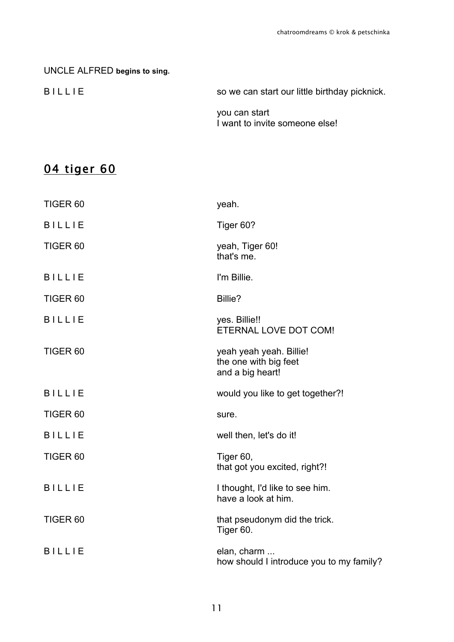# UNCLE ALFRED **begins to sing.** B I L L I E So we can start our little birthday picknick. you can start I want to invite someone else!

# 04 tiger 60

| TIGER <sub>60</sub> | yeah.                                                                |
|---------------------|----------------------------------------------------------------------|
| <b>BILLIE</b>       | Tiger 60?                                                            |
| TIGER <sub>60</sub> | yeah, Tiger 60!<br>that's me.                                        |
| <b>BILLIE</b>       | I'm Billie.                                                          |
| TIGER <sub>60</sub> | Billie?                                                              |
| <b>BILLIE</b>       | yes. Billie!!<br>ETERNAL LOVE DOT COM!                               |
| TIGER <sub>60</sub> | yeah yeah yeah. Billie!<br>the one with big feet<br>and a big heart! |
| <b>BILLIE</b>       | would you like to get together?!                                     |
| TIGER <sub>60</sub> | sure.                                                                |
| <b>BILLIE</b>       | well then, let's do it!                                              |
| TIGER <sub>60</sub> | Tiger 60,<br>that got you excited, right?!                           |
| <b>BILLIE</b>       | I thought, I'd like to see him.<br>have a look at him.               |
| TIGER <sub>60</sub> | that pseudonym did the trick.<br>Tiger 60.                           |
| <b>BILLIE</b>       | elan, charm<br>how should I introduce you to my family?              |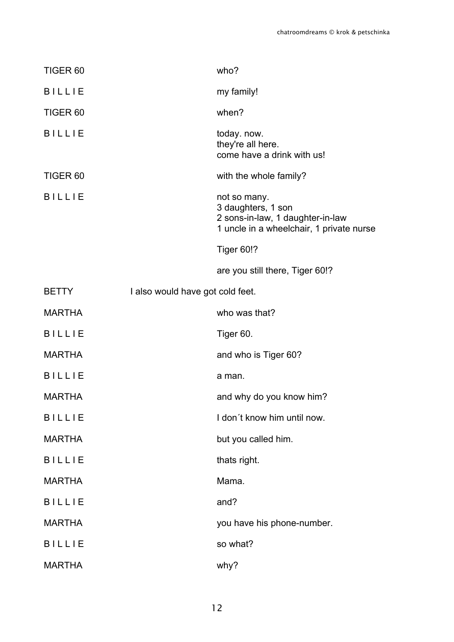| TIGER <sub>60</sub> |                                  | who?                                                                                                               |
|---------------------|----------------------------------|--------------------------------------------------------------------------------------------------------------------|
| <b>BILLIE</b>       |                                  | my family!                                                                                                         |
| TIGER <sub>60</sub> |                                  | when?                                                                                                              |
| <b>BILLIE</b>       |                                  | today. now.<br>they're all here.<br>come have a drink with us!                                                     |
| TIGER <sub>60</sub> |                                  | with the whole family?                                                                                             |
| <b>BILLIE</b>       |                                  | not so many.<br>3 daughters, 1 son<br>2 sons-in-law, 1 daughter-in-law<br>1 uncle in a wheelchair, 1 private nurse |
|                     |                                  | <b>Tiger 60!?</b>                                                                                                  |
|                     |                                  | are you still there, Tiger 60!?                                                                                    |
| <b>BETTY</b>        | I also would have got cold feet. |                                                                                                                    |
| <b>MARTHA</b>       |                                  | who was that?                                                                                                      |
| <b>BILLIE</b>       |                                  | Tiger 60.                                                                                                          |
| <b>MARTHA</b>       |                                  | and who is Tiger 60?                                                                                               |
| <b>BILLIE</b>       |                                  | a man.                                                                                                             |
| <b>MARTHA</b>       |                                  | and why do you know him?                                                                                           |
| <b>BILLIE</b>       |                                  | I don't know him until now.                                                                                        |
| <b>MARTHA</b>       |                                  | but you called him.                                                                                                |
| <b>BILLIE</b>       |                                  | thats right.                                                                                                       |
| <b>MARTHA</b>       |                                  | Mama.                                                                                                              |
| <b>BILLIE</b>       |                                  | and?                                                                                                               |
| <b>MARTHA</b>       |                                  | you have his phone-number.                                                                                         |
| <b>BILLIE</b>       |                                  | so what?                                                                                                           |
| <b>MARTHA</b>       |                                  | why?                                                                                                               |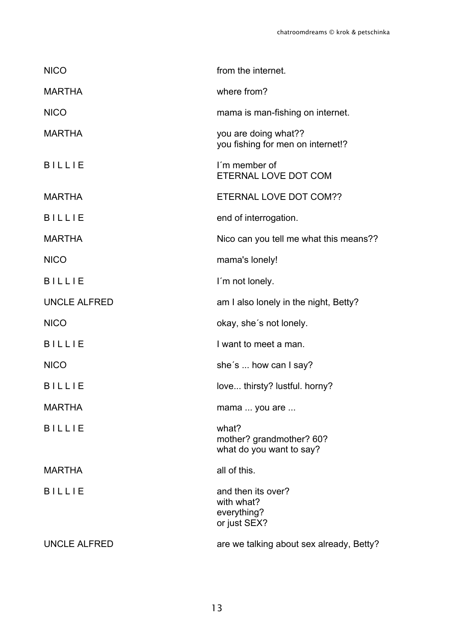| <b>NICO</b>         | from the internet.                                              |
|---------------------|-----------------------------------------------------------------|
| <b>MARTHA</b>       | where from?                                                     |
| <b>NICO</b>         | mama is man-fishing on internet.                                |
| <b>MARTHA</b>       | you are doing what??<br>you fishing for men on internet!?       |
| <b>BILLIE</b>       | I'm member of<br>ETERNAL LOVE DOT COM                           |
| <b>MARTHA</b>       | ETERNAL LOVE DOT COM??                                          |
| <b>BILLIE</b>       | end of interrogation.                                           |
| <b>MARTHA</b>       | Nico can you tell me what this means??                          |
| <b>NICO</b>         | mama's lonely!                                                  |
| <b>BILLIE</b>       | I'm not lonely.                                                 |
| <b>UNCLE ALFRED</b> | am I also lonely in the night, Betty?                           |
| <b>NICO</b>         | okay, she's not lonely.                                         |
| <b>BILLIE</b>       | I want to meet a man.                                           |
| <b>NICO</b>         | she's  how can I say?                                           |
| <b>BILLIE</b>       | love thirsty? lustful. horny?                                   |
| <b>MARTHA</b>       | mama  you are                                                   |
| <b>BILLIE</b>       | what?<br>mother? grandmother? 60?<br>what do you want to say?   |
| <b>MARTHA</b>       | all of this.                                                    |
| <b>BILLIE</b>       | and then its over?<br>with what?<br>everything?<br>or just SEX? |
| <b>UNCLE ALFRED</b> | are we talking about sex already, Betty?                        |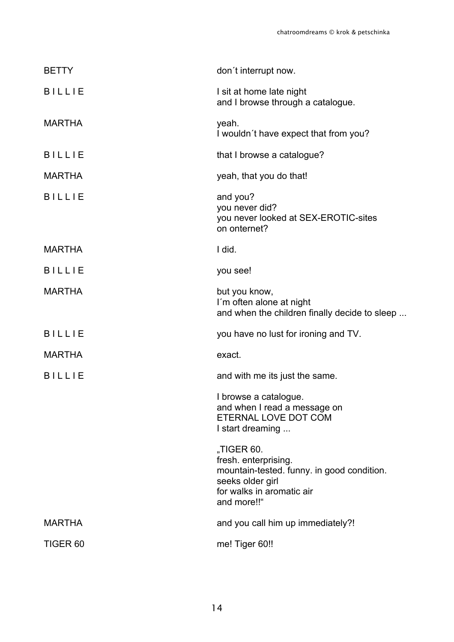| <b>BETTY</b>        | don't interrupt now.                                                                                                                             |
|---------------------|--------------------------------------------------------------------------------------------------------------------------------------------------|
| <b>BILLIE</b>       | I sit at home late night<br>and I browse through a catalogue.                                                                                    |
| <b>MARTHA</b>       | yeah.<br>I wouldn't have expect that from you?                                                                                                   |
| <b>BILLIE</b>       | that I browse a catalogue?                                                                                                                       |
| <b>MARTHA</b>       | yeah, that you do that!                                                                                                                          |
| <b>BILLIE</b>       | and you?<br>you never did?<br>you never looked at SEX-EROTIC-sites<br>on onternet?                                                               |
| <b>MARTHA</b>       | I did.                                                                                                                                           |
| <b>BILLIE</b>       | you see!                                                                                                                                         |
| <b>MARTHA</b>       | but you know,<br>I'm often alone at night<br>and when the children finally decide to sleep                                                       |
| <b>BILLIE</b>       | you have no lust for ironing and TV.                                                                                                             |
| <b>MARTHA</b>       | exact.                                                                                                                                           |
| <b>BILLIE</b>       | and with me its just the same.                                                                                                                   |
|                     | I browse a catalogue.<br>and when I read a message on<br>ETERNAL LOVE DOT COM<br>I start dreaming                                                |
|                     | "TIGER 60.<br>fresh. enterprising.<br>mountain-tested. funny. in good condition.<br>seeks older girl<br>for walks in aromatic air<br>and more!!" |
| <b>MARTHA</b>       | and you call him up immediately?!                                                                                                                |
| TIGER <sub>60</sub> | me! Tiger 60!!                                                                                                                                   |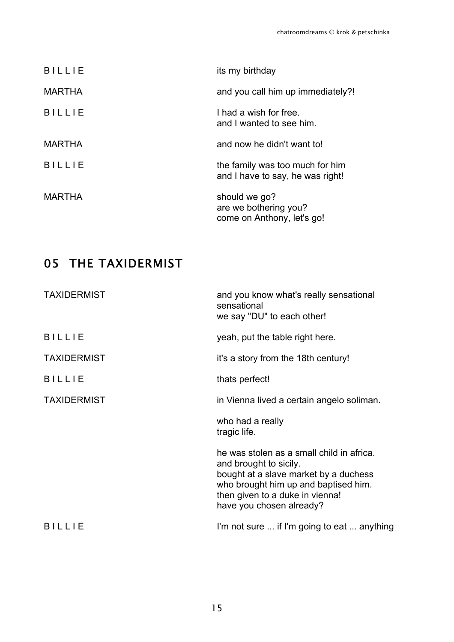| <b>BILLIE</b> | its my birthday                                                      |
|---------------|----------------------------------------------------------------------|
| <b>MARTHA</b> | and you call him up immediately?!                                    |
| <b>BILLIE</b> | I had a wish for free.<br>and I wanted to see him.                   |
| <b>MARTHA</b> | and now he didn't want to!                                           |
| <b>BILLIE</b> | the family was too much for him<br>and I have to say, he was right!  |
| MARTHA        | should we go?<br>are we bothering you?<br>come on Anthony, let's go! |

# **05 THE TAXIDERMIST**

| <b>TAXIDERMIST</b> | and you know what's really sensational<br>sensational<br>we say "DU" to each other!                                                                                                                                 |
|--------------------|---------------------------------------------------------------------------------------------------------------------------------------------------------------------------------------------------------------------|
| <b>BILLIE</b>      | yeah, put the table right here.                                                                                                                                                                                     |
| <b>TAXIDERMIST</b> | it's a story from the 18th century!                                                                                                                                                                                 |
| <b>BILLIE</b>      | thats perfect!                                                                                                                                                                                                      |
| <b>TAXIDERMIST</b> | in Vienna lived a certain angelo soliman.                                                                                                                                                                           |
|                    | who had a really<br>tragic life.                                                                                                                                                                                    |
|                    | he was stolen as a small child in africa.<br>and brought to sicily.<br>bought at a slave market by a duchess<br>who brought him up and baptised him.<br>then given to a duke in vienna!<br>have you chosen already? |
| <b>BILLIE</b>      | I'm not sure  if I'm going to eat  anything                                                                                                                                                                         |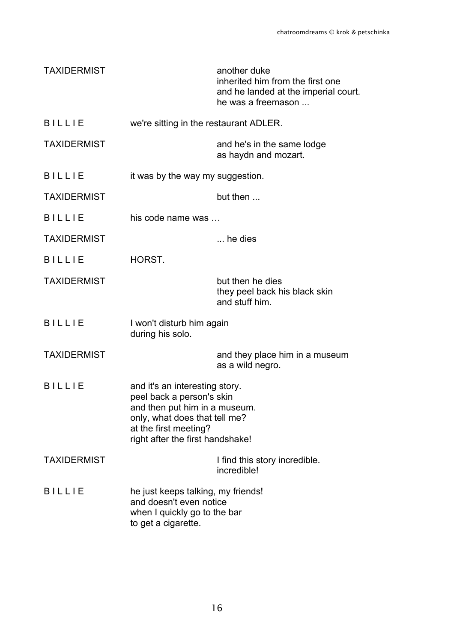| <b>TAXIDERMIST</b> |                                                                                                                                                                                            | another duke<br>inherited him from the first one<br>and he landed at the imperial court.<br>he was a freemason |
|--------------------|--------------------------------------------------------------------------------------------------------------------------------------------------------------------------------------------|----------------------------------------------------------------------------------------------------------------|
| <b>BILLIE</b>      | we're sitting in the restaurant ADLER.                                                                                                                                                     |                                                                                                                |
| <b>TAXIDERMIST</b> |                                                                                                                                                                                            | and he's in the same lodge<br>as haydn and mozart.                                                             |
| <b>BILLIE</b>      | it was by the way my suggestion.                                                                                                                                                           |                                                                                                                |
| <b>TAXIDERMIST</b> |                                                                                                                                                                                            | but then                                                                                                       |
| <b>BILLIE</b>      | his code name was                                                                                                                                                                          |                                                                                                                |
| <b>TAXIDERMIST</b> |                                                                                                                                                                                            | $\ldots$ he dies                                                                                               |
| <b>BILLIE</b>      | HORST.                                                                                                                                                                                     |                                                                                                                |
| <b>TAXIDERMIST</b> |                                                                                                                                                                                            | but then he dies<br>they peel back his black skin<br>and stuff him.                                            |
| <b>BILLIE</b>      | I won't disturb him again<br>during his solo.                                                                                                                                              |                                                                                                                |
| <b>TAXIDERMIST</b> |                                                                                                                                                                                            | and they place him in a museum<br>as a wild negro.                                                             |
| <b>BILLIE</b>      | and it's an interesting story.<br>peel back a person's skin<br>and then put him in a museum.<br>only, what does that tell me?<br>at the first meeting?<br>right after the first handshake! |                                                                                                                |
| <b>TAXIDERMIST</b> |                                                                                                                                                                                            | I find this story incredible.<br>incredible!                                                                   |
| <b>BILLIE</b>      | he just keeps talking, my friends!<br>and doesn't even notice<br>when I quickly go to the bar<br>to get a cigarette.                                                                       |                                                                                                                |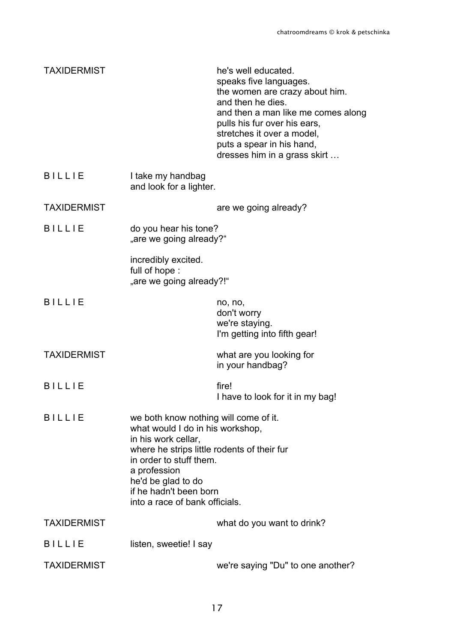| <b>TAXIDERMIST</b>                                                                         |                                                                                                                                                                                                 | he's well educated.<br>speaks five languages.<br>the women are crazy about him.<br>and then he dies.<br>and then a man like me comes along<br>pulls his fur over his ears,<br>stretches it over a model,<br>puts a spear in his hand,<br>dresses him in a grass skirt |
|--------------------------------------------------------------------------------------------|-------------------------------------------------------------------------------------------------------------------------------------------------------------------------------------------------|-----------------------------------------------------------------------------------------------------------------------------------------------------------------------------------------------------------------------------------------------------------------------|
| <b>BILLIE</b>                                                                              | I take my handbag<br>and look for a lighter.                                                                                                                                                    |                                                                                                                                                                                                                                                                       |
| <b>TAXIDERMIST</b>                                                                         |                                                                                                                                                                                                 | are we going already?                                                                                                                                                                                                                                                 |
| <b>BILLIE</b>                                                                              | do you hear his tone?<br>"are we going already?"                                                                                                                                                |                                                                                                                                                                                                                                                                       |
|                                                                                            | incredibly excited.<br>full of hope:<br>"are we going already?!"                                                                                                                                |                                                                                                                                                                                                                                                                       |
| <b>BILLIE</b>                                                                              |                                                                                                                                                                                                 | no, no,<br>don't worry<br>we're staying.<br>I'm getting into fifth gear!                                                                                                                                                                                              |
| <b>TAXIDERMIST</b>                                                                         |                                                                                                                                                                                                 | what are you looking for<br>in your handbag?                                                                                                                                                                                                                          |
| <b>BILLIE</b>                                                                              |                                                                                                                                                                                                 | fire!<br>I have to look for it in my bag!                                                                                                                                                                                                                             |
| <b>BILLIE</b><br>we both know nothing will come of it.<br>what would I do in his workshop, |                                                                                                                                                                                                 |                                                                                                                                                                                                                                                                       |
|                                                                                            | in his work cellar,<br>where he strips little rodents of their fur<br>in order to stuff them.<br>a profession<br>he'd be glad to do<br>if he hadn't been born<br>into a race of bank officials. |                                                                                                                                                                                                                                                                       |
| <b>TAXIDERMIST</b>                                                                         |                                                                                                                                                                                                 | what do you want to drink?                                                                                                                                                                                                                                            |
| BILLIE                                                                                     | listen, sweetie! I say                                                                                                                                                                          |                                                                                                                                                                                                                                                                       |
| <b>TAXIDERMIST</b>                                                                         |                                                                                                                                                                                                 | we're saying "Du" to one another?                                                                                                                                                                                                                                     |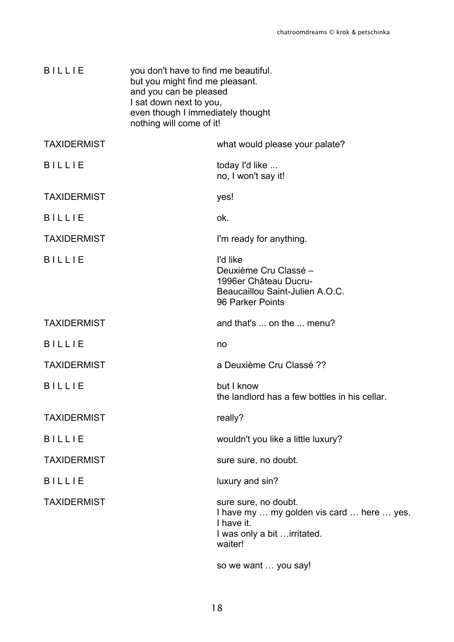| <b>BILLIE</b>      | you don't have to find me beautiful.<br>but you might find me pleasant.<br>and you can be pleased<br>I sat down next to you,<br>even though I immediately thought<br>nothing will come of it! |                                                                                                                           |
|--------------------|-----------------------------------------------------------------------------------------------------------------------------------------------------------------------------------------------|---------------------------------------------------------------------------------------------------------------------------|
| <b>TAXIDERMIST</b> |                                                                                                                                                                                               | what would please your palate?                                                                                            |
| <b>BILLIE</b>      |                                                                                                                                                                                               | today I'd like<br>no, I won't say it!                                                                                     |
| <b>TAXIDERMIST</b> |                                                                                                                                                                                               | yes!                                                                                                                      |
| <b>BILLIE</b>      |                                                                                                                                                                                               | ok.                                                                                                                       |
| <b>TAXIDERMIST</b> |                                                                                                                                                                                               | I'm ready for anything.                                                                                                   |
| <b>BILLIE</b>      |                                                                                                                                                                                               | I'd like<br>Deuxième Cru Classé -<br>1996er Château Ducru-<br>Beaucaillou Saint-Julien A.O.C.<br>96 Parker Points         |
| <b>TAXIDERMIST</b> |                                                                                                                                                                                               | and that's  on the  menu?                                                                                                 |
| <b>BILLIE</b>      |                                                                                                                                                                                               | no                                                                                                                        |
| <b>TAXIDERMIST</b> |                                                                                                                                                                                               | a Deuxième Cru Classé ??                                                                                                  |
| <b>BILLIE</b>      |                                                                                                                                                                                               | but I know<br>the landlord has a few bottles in his cellar.                                                               |
| <b>TAXIDERMIST</b> |                                                                                                                                                                                               | really?                                                                                                                   |
| <b>BILLIE</b>      |                                                                                                                                                                                               | wouldn't you like a little luxury?                                                                                        |
| <b>TAXIDERMIST</b> |                                                                                                                                                                                               | sure sure, no doubt.                                                                                                      |
| <b>BILLIE</b>      |                                                                                                                                                                                               | luxury and sin?                                                                                                           |
| <b>TAXIDERMIST</b> |                                                                                                                                                                                               | sure sure, no doubt.<br>I have my  my golden vis card  here  yes.<br>I have it.<br>I was only a bit irritated.<br>waiter! |
|                    |                                                                                                                                                                                               | so we want  you say!                                                                                                      |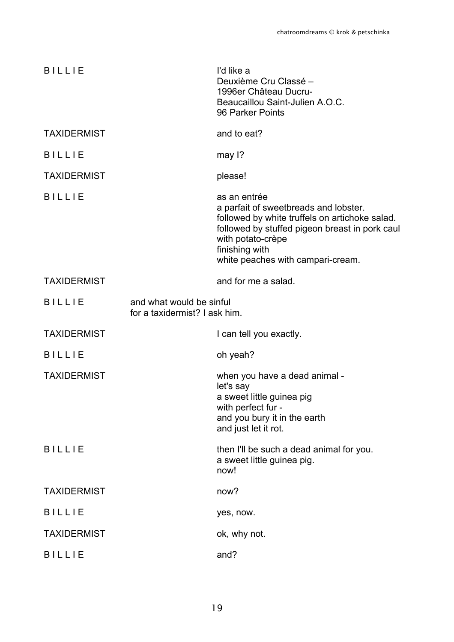| <b>BILLIE</b>      |                                                           | I'd like a<br>Deuxième Cru Classé -<br>1996er Château Ducru-<br>Beaucaillou Saint-Julien A.O.C.<br>96 Parker Points                                                                                                                   |
|--------------------|-----------------------------------------------------------|---------------------------------------------------------------------------------------------------------------------------------------------------------------------------------------------------------------------------------------|
| <b>TAXIDERMIST</b> |                                                           | and to eat?                                                                                                                                                                                                                           |
| <b>BILLIE</b>      |                                                           | may 1?                                                                                                                                                                                                                                |
| <b>TAXIDERMIST</b> |                                                           | please!                                                                                                                                                                                                                               |
| <b>BILLIE</b>      |                                                           | as an entrée<br>a parfait of sweetbreads and lobster.<br>followed by white truffels on artichoke salad.<br>followed by stuffed pigeon breast in pork caul<br>with potato-crèpe<br>finishing with<br>white peaches with campari-cream. |
| <b>TAXIDERMIST</b> |                                                           | and for me a salad.                                                                                                                                                                                                                   |
| <b>BILLIE</b>      | and what would be sinful<br>for a taxidermist? I ask him. |                                                                                                                                                                                                                                       |
| <b>TAXIDERMIST</b> |                                                           | I can tell you exactly.                                                                                                                                                                                                               |
| <b>BILLIE</b>      |                                                           | oh yeah?                                                                                                                                                                                                                              |
| <b>TAXIDERMIST</b> |                                                           | when you have a dead animal -<br>let's say<br>a sweet little guinea pig<br>with perfect fur -<br>and you bury it in the earth<br>and just let it rot.                                                                                 |
| <b>BILLIE</b>      |                                                           | then I'll be such a dead animal for you.<br>a sweet little guinea pig.<br>now!                                                                                                                                                        |
| <b>TAXIDERMIST</b> |                                                           | now?                                                                                                                                                                                                                                  |
| <b>BILLIE</b>      |                                                           | yes, now.                                                                                                                                                                                                                             |
| <b>TAXIDERMIST</b> |                                                           | ok, why not.                                                                                                                                                                                                                          |
| <b>BILLIE</b>      |                                                           | and?                                                                                                                                                                                                                                  |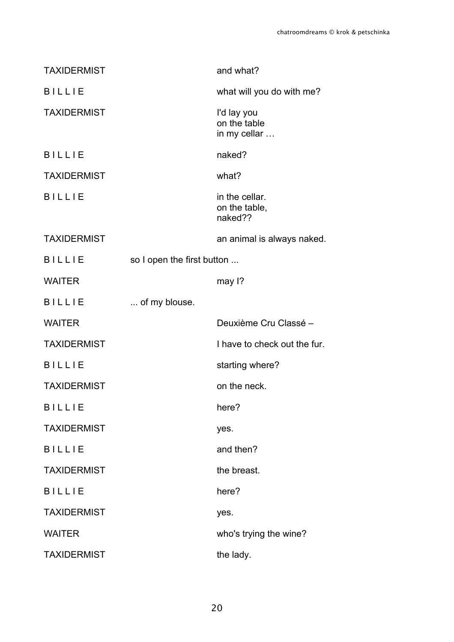|                            | and what?                                   |
|----------------------------|---------------------------------------------|
|                            | what will you do with me?                   |
|                            | I'd lay you<br>on the table<br>in my cellar |
|                            | naked?                                      |
|                            | what?                                       |
|                            | in the cellar.<br>on the table,<br>naked??  |
|                            | an animal is always naked.                  |
| so I open the first button |                                             |
|                            | may 1?                                      |
|                            |                                             |
| of my blouse.              |                                             |
|                            | Deuxième Cru Classé -                       |
|                            | I have to check out the fur.                |
|                            | starting where?                             |
|                            | on the neck.                                |
|                            | here?                                       |
|                            | yes.                                        |
|                            | and then?                                   |
|                            | the breast.                                 |
|                            | here?                                       |
|                            | yes.                                        |
|                            | who's trying the wine?                      |
|                            |                                             |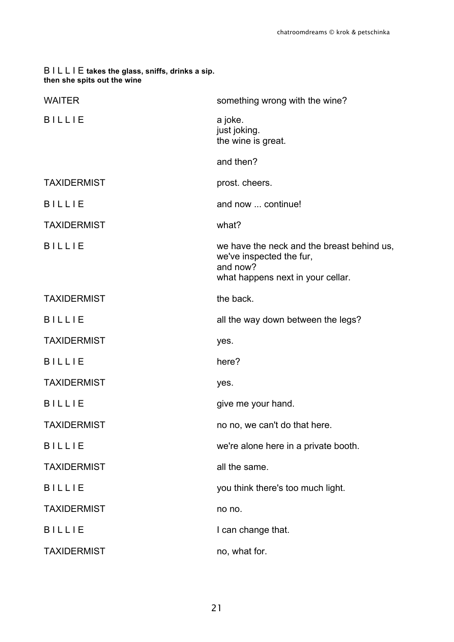# B I L L I E **takes the glass, sniffs, drinks a sip. then she spits out the wine** WAITER was a something wrong with the wine? B I L L I E a joke. just joking. the wine is great. and then? TAXIDERMIST **prost.** cheers. B I L L I E and now ... continue! TAXIDERMIST what? B I L L I E we have the neck and the breast behind us, we've inspected the fur, and now? what happens next in your cellar. TAXIDERMIST the back. B I L L I E all the way down between the legs? TAXIDERMIST ves. B I L L I E here? TAXIDERMIST ves. B I L L I E give me your hand. TAXIDERMIST TAXIDERMIST no no, we can't do that here. B I L L I E we're alone here in a private booth. TAXIDERMIST all the same. B I L L I E you think there's too much light. TAXIDERMIST no no. B I L L I E I can change that. TAXIDERMIST no, what for.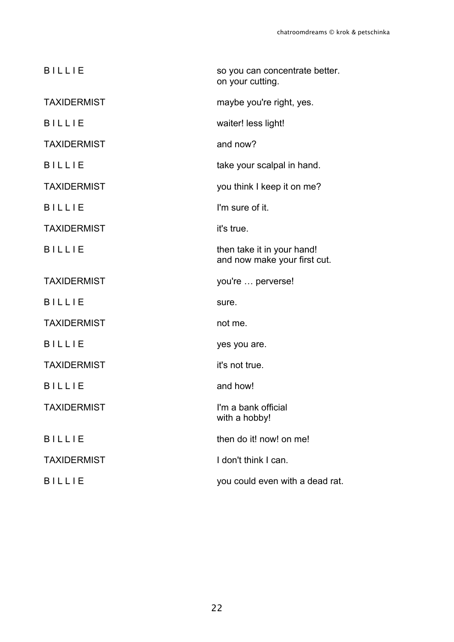| <b>BILLIE</b>      | so you can concentrate better.<br>on your cutting.         |
|--------------------|------------------------------------------------------------|
| <b>TAXIDERMIST</b> | maybe you're right, yes.                                   |
| <b>BILLIE</b>      | waiter! less light!                                        |
| <b>TAXIDERMIST</b> | and now?                                                   |
| <b>BILLIE</b>      | take your scalpal in hand.                                 |
| <b>TAXIDERMIST</b> | you think I keep it on me?                                 |
| <b>BILLIE</b>      | I'm sure of it.                                            |
| <b>TAXIDERMIST</b> | it's true.                                                 |
| <b>BILLIE</b>      | then take it in your hand!<br>and now make your first cut. |
| <b>TAXIDERMIST</b> | you're  perverse!                                          |
| <b>BILLIE</b>      | sure.                                                      |
| <b>TAXIDERMIST</b> | not me.                                                    |
| <b>BILLIE</b>      | yes you are.                                               |
| <b>TAXIDERMIST</b> | it's not true.                                             |
| <b>BILLIE</b>      | and how!                                                   |
| <b>TAXIDERMIST</b> | I'm a bank official<br>with a hobby!                       |
| <b>BILLIE</b>      | then do it! now! on me!                                    |
| <b>TAXIDERMIST</b> | I don't think I can.                                       |
| <b>BILLIE</b>      | you could even with a dead rat.                            |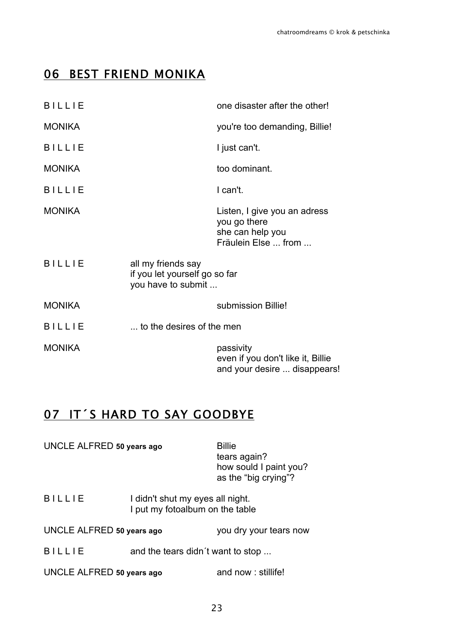# 06 BEST FRIEND MONIKA

| <b>BILLIE</b> |                                                                           | one disaster after the other!                                                           |
|---------------|---------------------------------------------------------------------------|-----------------------------------------------------------------------------------------|
| <b>MONIKA</b> |                                                                           | you're too demanding, Billie!                                                           |
| <b>BILLIE</b> |                                                                           | I just can't.                                                                           |
| <b>MONIKA</b> |                                                                           | too dominant.                                                                           |
| <b>BILLIE</b> |                                                                           | I can't.                                                                                |
| <b>MONIKA</b> |                                                                           | Listen, I give you an adress<br>you go there<br>she can help you<br>Fräulein Else  from |
| <b>BILLIE</b> | all my friends say<br>if you let yourself go so far<br>you have to submit |                                                                                         |
| <b>MONIKA</b> |                                                                           | submission Billie!                                                                      |
| <b>BILLIE</b> | to the desires of the men                                                 |                                                                                         |
| <b>MONIKA</b> |                                                                           | passivity<br>even if you don't like it, Billie<br>and your desire  disappears!          |

# 07 IT´S HARD TO SAY GOODBYE

| UNCLE ALFRED 50 years ago |  | <b>Billie</b><br>tears again?<br>how sould I paint you?<br>as the "big crying"? |
|---------------------------|--|---------------------------------------------------------------------------------|
| <b>BILLIE</b>             |  | I didn't shut my eyes all night.<br>I put my fotoalbum on the table             |

UNCLE ALFRED **50 years ago** you dry your tears now

B I L L I E and the tears didn't want to stop ...

UNCLE ALFRED 50 years ago and now : stillife!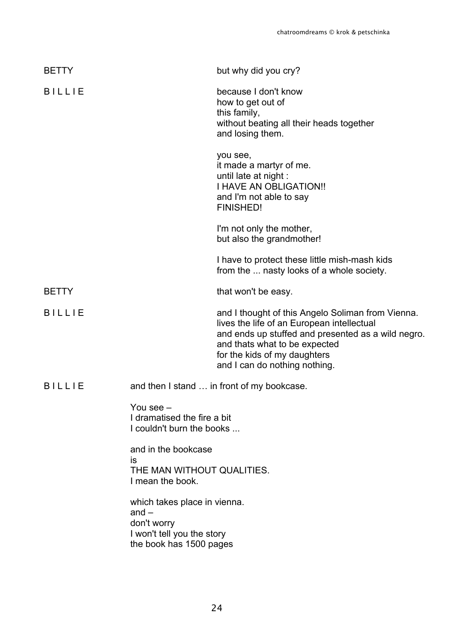| <b>BETTY</b>  |                                                                                                                 | but why did you cry?                                                                                                                                                                                                                                    |
|---------------|-----------------------------------------------------------------------------------------------------------------|---------------------------------------------------------------------------------------------------------------------------------------------------------------------------------------------------------------------------------------------------------|
| <b>BILLIE</b> |                                                                                                                 | because I don't know<br>how to get out of<br>this family,<br>without beating all their heads together<br>and losing them.                                                                                                                               |
|               |                                                                                                                 | you see,<br>it made a martyr of me.<br>until late at night :<br><b>I HAVE AN OBLIGATION!!</b><br>and I'm not able to say<br><b>FINISHED!</b>                                                                                                            |
|               |                                                                                                                 | I'm not only the mother,<br>but also the grandmother!                                                                                                                                                                                                   |
|               |                                                                                                                 | I have to protect these little mish-mash kids<br>from the  nasty looks of a whole society.                                                                                                                                                              |
| <b>BETTY</b>  |                                                                                                                 | that won't be easy.                                                                                                                                                                                                                                     |
| <b>BILLIE</b> |                                                                                                                 | and I thought of this Angelo Soliman from Vienna.<br>lives the life of an European intellectual<br>and ends up stuffed and presented as a wild negro.<br>and thats what to be expected<br>for the kids of my daughters<br>and I can do nothing nothing. |
| <b>BILLIE</b> |                                                                                                                 | and then I stand  in front of my bookcase.                                                                                                                                                                                                              |
|               | You see -<br>I dramatised the fire a bit<br>I couldn't burn the books                                           |                                                                                                                                                                                                                                                         |
|               | and in the bookcase<br>is                                                                                       |                                                                                                                                                                                                                                                         |
|               | THE MAN WITHOUT QUALITIES.<br>I mean the book.                                                                  |                                                                                                                                                                                                                                                         |
|               | which takes place in vienna.<br>$and -$<br>don't worry<br>I won't tell you the story<br>the book has 1500 pages |                                                                                                                                                                                                                                                         |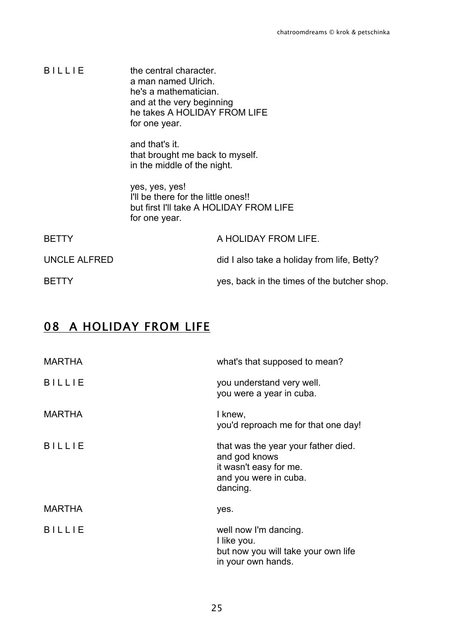| <b>BILLIE</b>       | the central character.<br>a man named Ulrich.<br>he's a mathematician.<br>and at the very beginning<br>he takes A HOLIDAY FROM LIFE<br>for one year. |                                             |
|---------------------|------------------------------------------------------------------------------------------------------------------------------------------------------|---------------------------------------------|
|                     | and that's it.<br>that brought me back to myself.<br>in the middle of the night.                                                                     |                                             |
|                     | yes, yes, yes!<br>I'll be there for the little ones!!<br>for one year.                                                                               | but first I'll take A HOLIDAY FROM LIFE     |
| <b>BETTY</b>        |                                                                                                                                                      | A HOLIDAY FROM LIFE.                        |
| <b>UNCLE ALFRED</b> |                                                                                                                                                      | did I also take a holiday from life, Betty? |
| <b>BETTY</b>        |                                                                                                                                                      | yes, back in the times of the butcher shop. |

# 08 A HOLIDAY FROM LIFE

| <b>MARTHA</b> | what's that supposed to mean?                                                                                       |
|---------------|---------------------------------------------------------------------------------------------------------------------|
| <b>BILLIE</b> | you understand very well.<br>you were a year in cuba.                                                               |
| <b>MARTHA</b> | I knew,<br>you'd reproach me for that one day!                                                                      |
| <b>BILLIE</b> | that was the year your father died.<br>and god knows<br>it wasn't easy for me.<br>and you were in cuba.<br>dancing. |
| <b>MARTHA</b> | yes.                                                                                                                |
| <b>BILLIE</b> | well now I'm dancing.<br>I like you.<br>but now you will take your own life<br>in your own hands.                   |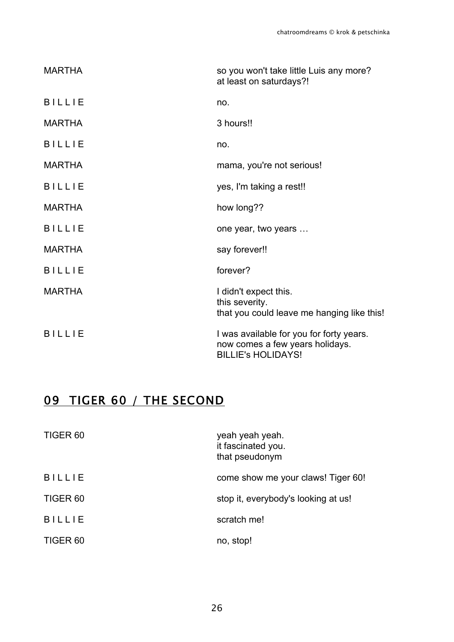| <b>MARTHA</b> | so you won't take little Luis any more?<br>at least on saturdays?!                                       |
|---------------|----------------------------------------------------------------------------------------------------------|
| <b>BILLIE</b> | no.                                                                                                      |
| <b>MARTHA</b> | 3 hours!!                                                                                                |
| <b>BILLIE</b> | no.                                                                                                      |
| <b>MARTHA</b> | mama, you're not serious!                                                                                |
| <b>BILLIE</b> | yes, I'm taking a rest!!                                                                                 |
| <b>MARTHA</b> | how long??                                                                                               |
| <b>BILLIE</b> | one year, two years                                                                                      |
| <b>MARTHA</b> | say forever!!                                                                                            |
| <b>BILLIE</b> | forever?                                                                                                 |
| <b>MARTHA</b> | I didn't expect this.<br>this severity.<br>that you could leave me hanging like this!                    |
| <b>BILLIE</b> | I was available for you for forty years.<br>now comes a few years holidays.<br><b>BILLIE's HOLIDAYS!</b> |

# 09 TIGER 60 / THE SECOND

| TIGER <sub>60</sub> | yeah yeah yeah.<br>it fascinated you.<br>that pseudonym |
|---------------------|---------------------------------------------------------|
| <b>BILLIE</b>       | come show me your claws! Tiger 60!                      |
| TIGER <sub>60</sub> | stop it, everybody's looking at us!                     |
| <b>BILLIE</b>       | scratch me!                                             |
| TIGER <sub>60</sub> | no, stop!                                               |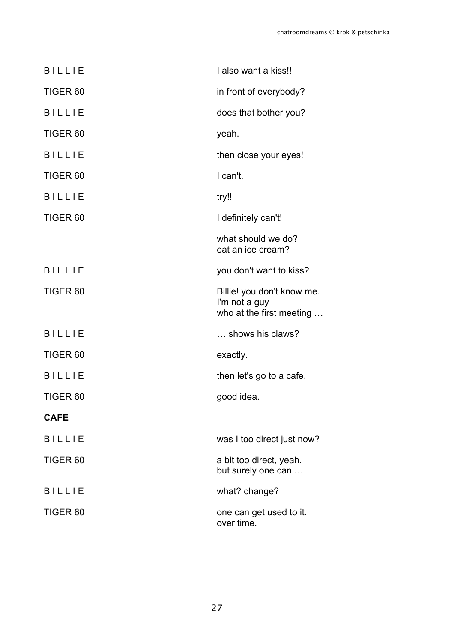| <b>BILLIE</b>       | I also want a kiss!!                                                    |
|---------------------|-------------------------------------------------------------------------|
| TIGER <sub>60</sub> | in front of everybody?                                                  |
| <b>BILLIE</b>       | does that bother you?                                                   |
| TIGER <sub>60</sub> | yeah.                                                                   |
| <b>BILLIE</b>       | then close your eyes!                                                   |
| TIGER <sub>60</sub> | I can't.                                                                |
| <b>BILLIE</b>       | try!!                                                                   |
| TIGER <sub>60</sub> | I definitely can't!                                                     |
|                     | what should we do?<br>eat an ice cream?                                 |
| <b>BILLIE</b>       | you don't want to kiss?                                                 |
| TIGER <sub>60</sub> | Billie! you don't know me.<br>I'm not a guy<br>who at the first meeting |
| <b>BILLIE</b>       | shows his claws?                                                        |
| TIGER <sub>60</sub> | exactly.                                                                |
| <b>BILLIE</b>       | then let's go to a cafe.                                                |
| TIGER <sub>60</sub> | good idea.                                                              |
| <b>CAFE</b>         |                                                                         |
| <b>BILLIE</b>       | was I too direct just now?                                              |
| TIGER <sub>60</sub> | a bit too direct, yeah.<br>but surely one can                           |
| <b>BILLIE</b>       | what? change?                                                           |
| TIGER <sub>60</sub> | one can get used to it.<br>over time.                                   |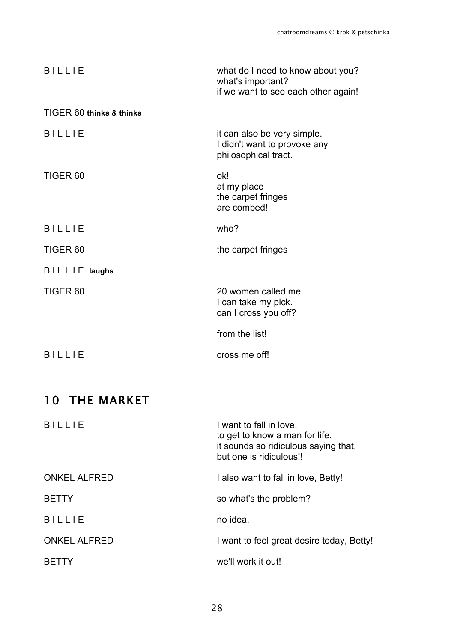| <b>BILLIE</b>            | what do I need to know about you?<br>what's important?<br>if we want to see each other again! |
|--------------------------|-----------------------------------------------------------------------------------------------|
| TIGER 60 thinks & thinks |                                                                                               |
| <b>BILLIE</b>            | it can also be very simple.<br>I didn't want to provoke any<br>philosophical tract.           |
| TIGER <sub>60</sub>      | ok!<br>at my place<br>the carpet fringes<br>are combed!                                       |
| <b>BILLIE</b>            | who?                                                                                          |
| TIGER <sub>60</sub>      | the carpet fringes                                                                            |
| BILLIE laughs            |                                                                                               |
|                          |                                                                                               |
| TIGER <sub>60</sub>      | 20 women called me.<br>I can take my pick.<br>can I cross you off?                            |
|                          | from the list!                                                                                |

# 10 THE MARKET

| <b>BILLIF</b>       | I want to fall in love.<br>to get to know a man for life.<br>it sounds so ridiculous saying that.<br>but one is ridiculous!! |
|---------------------|------------------------------------------------------------------------------------------------------------------------------|
| <b>ONKEL ALFRED</b> | I also want to fall in love, Betty!                                                                                          |
| <b>BETTY</b>        | so what's the problem?                                                                                                       |
| <b>BILLIE</b>       | no idea.                                                                                                                     |
| <b>ONKEL ALFRED</b> | I want to feel great desire today, Betty!                                                                                    |
| <b>BETIY</b>        | we'll work it out!                                                                                                           |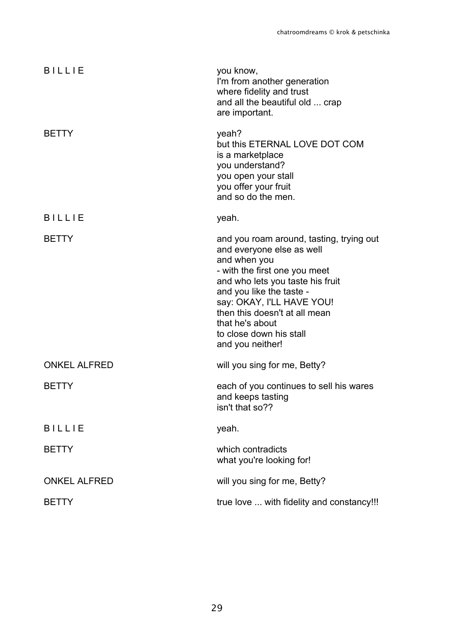| <b>BILLIE</b>       | you know,<br>I'm from another generation<br>where fidelity and trust<br>and all the beautiful old  crap<br>are important.                                                                                                                                                                                              |
|---------------------|------------------------------------------------------------------------------------------------------------------------------------------------------------------------------------------------------------------------------------------------------------------------------------------------------------------------|
| <b>BETTY</b>        | yeah?<br>but this ETERNAL LOVE DOT COM<br>is a marketplace<br>you understand?<br>you open your stall<br>you offer your fruit<br>and so do the men.                                                                                                                                                                     |
| <b>BILLIE</b>       | yeah.                                                                                                                                                                                                                                                                                                                  |
| <b>BETTY</b>        | and you roam around, tasting, trying out<br>and everyone else as well<br>and when you<br>- with the first one you meet<br>and who lets you taste his fruit<br>and you like the taste -<br>say: OKAY, I'LL HAVE YOU!<br>then this doesn't at all mean<br>that he's about<br>to close down his stall<br>and you neither! |
| <b>ONKEL ALFRED</b> | will you sing for me, Betty?                                                                                                                                                                                                                                                                                           |
| <b>BETTY</b>        | each of you continues to sell his wares<br>and keeps tasting<br>isn't that so??                                                                                                                                                                                                                                        |
| <b>BILLIE</b>       | yeah.                                                                                                                                                                                                                                                                                                                  |
| <b>BETTY</b>        | which contradicts<br>what you're looking for!                                                                                                                                                                                                                                                                          |
| <b>ONKEL ALFRED</b> | will you sing for me, Betty?                                                                                                                                                                                                                                                                                           |
| <b>BETTY</b>        | true love  with fidelity and constancy!!!                                                                                                                                                                                                                                                                              |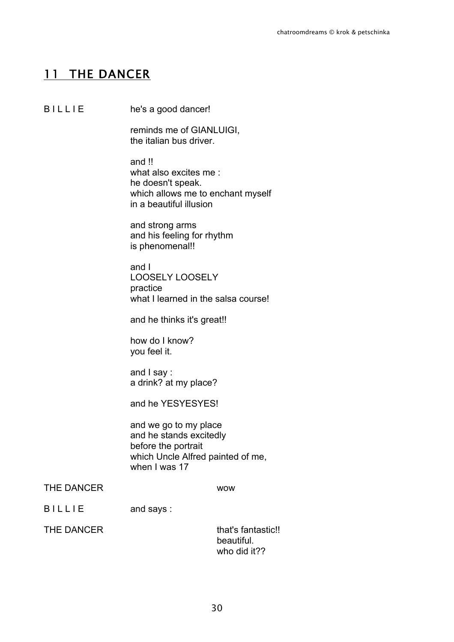# 11 THE DANCER

B I L L I E he's a good dancer!

reminds me of GIANLUIGI, the italian bus driver.

and !! what also excites me: he doesn't speak. which allows me to enchant myself in a beautiful illusion

and strong arms and his feeling for rhythm is phenomenal!!

and I LOOSELY LOOSELY practice what I learned in the salsa course!

and he thinks it's great!!

how do I know? you feel it.

and I say : a drink? at my place?

and he YESYESYES!

and we go to my place and he stands excitedly before the portrait which Uncle Alfred painted of me, when I was 17

### THE DANCER WOW

B I L L I E and says :

THE DANCER that's fantastic!! beautiful. who did it??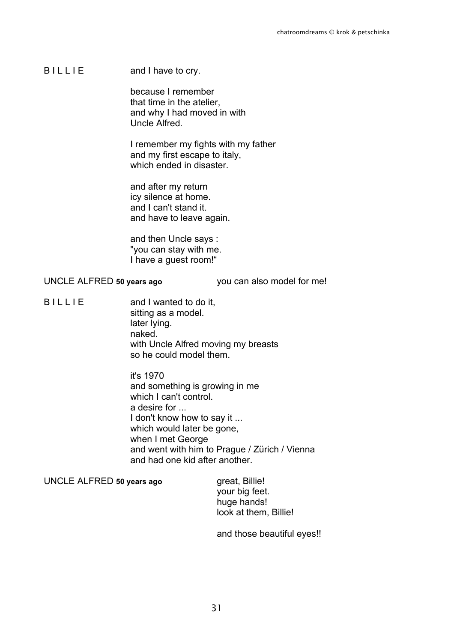B I L L I E and I have to cry.

because I remember that time in the atelier, and why I had moved in with Uncle Alfred.

I remember my fights with my father and my first escape to italy, which ended in disaster

and after my return icy silence at home. and I can't stand it. and have to leave again.

and then Uncle says : "you can stay with me. I have a guest room!"

### UNCLE ALFRED **50 years ago** you can also model for me!

B I L L I E and I wanted to do it, sitting as a model. later lying. naked. with Uncle Alfred moving my breasts so he could model them.

> it's 1970 and something is growing in me which I can't control. a desire for ... I don't know how to say it ... which would later be gone, when I met George and went with him to Prague / Zürich / Vienna and had one kid after another.

UNCLE ALFRED 50 years ago great, Billie!

your big feet. huge hands! look at them, Billie!

and those beautiful eyes!!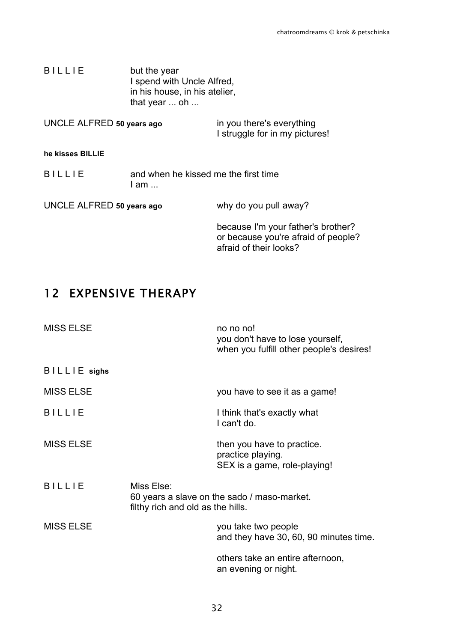B I L L I E but the year I spend with Uncle Alfred, in his house, in his atelier, that year ... oh ...

| UNCLE ALFRED 50 years ago | in you there's everything      |
|---------------------------|--------------------------------|
|                           | I struggle for in my pictures! |

#### **he kisses BILLIE**

| <b>BILLIE</b> | and when he kissed me the first time |
|---------------|--------------------------------------|
|               | I am                                 |
|               |                                      |

UNCLE ALFRED **50 years ago** why do you pull away? because I'm your father's brother? or because you're afraid of people? afraid of their looks?

## 12 EXPENSIVE THERAPY

| <b>MISS ELSE</b> |                                                 | no no no!<br>you don't have to lose yourself,<br>when you fulfill other people's desires! |
|------------------|-------------------------------------------------|-------------------------------------------------------------------------------------------|
| BILLIE sighs     |                                                 |                                                                                           |
| <b>MISS ELSE</b> |                                                 | you have to see it as a game!                                                             |
| <b>BILLIE</b>    |                                                 | I think that's exactly what<br>I can't do.                                                |
| <b>MISS ELSE</b> |                                                 | then you have to practice.<br>practice playing.<br>SEX is a game, role-playing!           |
| <b>BILLIE</b>    | Miss Else:<br>filthy rich and old as the hills. | 60 years a slave on the sado / maso-market.                                               |
| <b>MISS ELSE</b> |                                                 | you take two people<br>and they have 30, 60, 90 minutes time.                             |
|                  |                                                 | others take an entire afternoon,<br>an evening or night.                                  |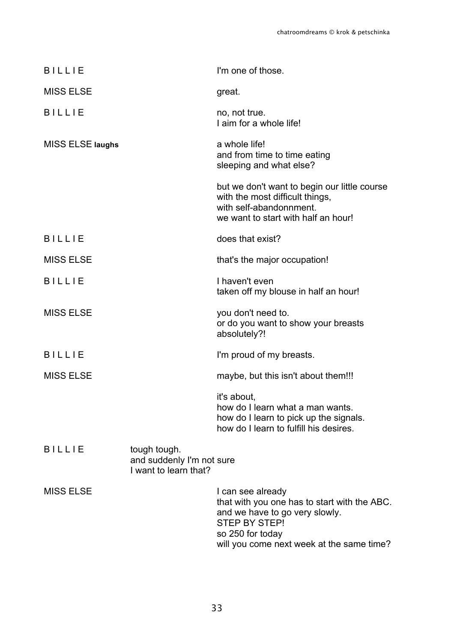| <b>BILLIE</b>    |                                                                    | I'm one of those.                                                                                                                                                                            |
|------------------|--------------------------------------------------------------------|----------------------------------------------------------------------------------------------------------------------------------------------------------------------------------------------|
| <b>MISS ELSE</b> |                                                                    | great.                                                                                                                                                                                       |
| <b>BILLIE</b>    |                                                                    | no, not true.<br>I aim for a whole life!                                                                                                                                                     |
| MISS ELSE laughs |                                                                    | a whole life!<br>and from time to time eating<br>sleeping and what else?                                                                                                                     |
|                  |                                                                    | but we don't want to begin our little course<br>with the most difficult things,<br>with self-abandonnment.<br>we want to start with half an hour!                                            |
| <b>BILLIE</b>    |                                                                    | does that exist?                                                                                                                                                                             |
| <b>MISS ELSE</b> |                                                                    | that's the major occupation!                                                                                                                                                                 |
| <b>BILLIE</b>    |                                                                    | I haven't even<br>taken off my blouse in half an hour!                                                                                                                                       |
| <b>MISS ELSE</b> |                                                                    | you don't need to.<br>or do you want to show your breasts<br>absolutely?!                                                                                                                    |
| <b>BILLIE</b>    |                                                                    | I'm proud of my breasts.                                                                                                                                                                     |
| <b>MISS ELSE</b> |                                                                    | maybe, but this isn't about them!!!                                                                                                                                                          |
|                  |                                                                    | it's about,<br>how do I learn what a man wants.<br>how do I learn to pick up the signals.<br>how do I learn to fulfill his desires.                                                          |
| <b>BILLIE</b>    | tough tough.<br>and suddenly I'm not sure<br>I want to learn that? |                                                                                                                                                                                              |
| <b>MISS ELSE</b> |                                                                    | I can see already<br>that with you one has to start with the ABC.<br>and we have to go very slowly.<br><b>STEP BY STEP!</b><br>so 250 for today<br>will you come next week at the same time? |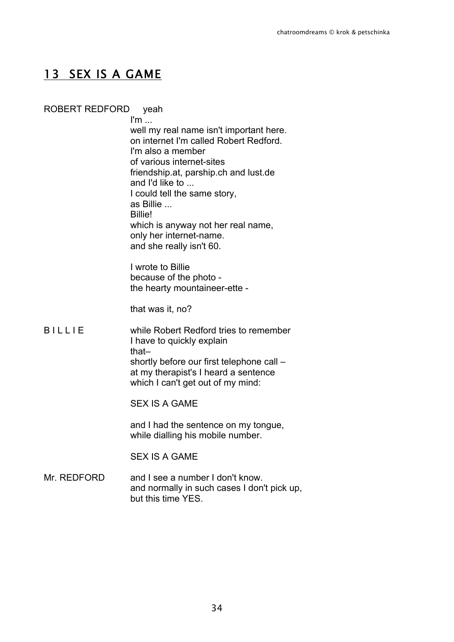## 13 SEX IS A GAME

### ROBERT REDFORD yeah

 $\mathsf{I}'\mathsf{m}$  ... well my real name isn't important here. on internet I'm called Robert Redford. I'm also a member of various internet-sites friendship.at, parship.ch and lust.de and I'd like to ... I could tell the same story, as Billie ... Billie! which is anyway not her real name, only her internet-name. and she really isn't 60.

I wrote to Billie because of the photo the hearty mountaineer-ette -

that was it, no?

B I L L I E while Robert Redford tries to remember I have to quickly explain that– shortly before our first telephone call – at my therapist's I heard a sentence which I can't get out of my mind:

SEX IS A GAME

and I had the sentence on my tongue, while dialling his mobile number.

### SEX IS A GAME

Mr. REDFORD and I see a number I don't know. and normally in such cases I don't pick up, but this time YES.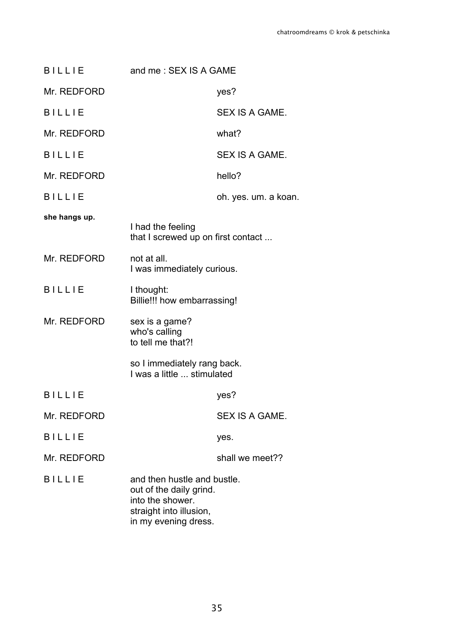| <b>BILLIE</b> | and me: SEX IS A GAME                                                                                                         |                      |
|---------------|-------------------------------------------------------------------------------------------------------------------------------|----------------------|
| Mr. REDFORD   |                                                                                                                               | yes?                 |
| <b>BILLIE</b> |                                                                                                                               | SEX IS A GAME.       |
| Mr. REDFORD   |                                                                                                                               | what?                |
| <b>BILLIE</b> |                                                                                                                               | SEX IS A GAME.       |
| Mr. REDFORD   |                                                                                                                               | hello?               |
| <b>BILLIE</b> |                                                                                                                               | oh. yes. um. a koan. |
| she hangs up. |                                                                                                                               |                      |
|               | I had the feeling<br>that I screwed up on first contact                                                                       |                      |
| Mr. REDFORD   | not at all.<br>I was immediately curious.                                                                                     |                      |
| <b>BILLIE</b> | I thought:<br>Billie!!! how embarrassing!                                                                                     |                      |
| Mr. REDFORD   | sex is a game?<br>who's calling<br>to tell me that?!                                                                          |                      |
|               | so I immediately rang back.<br>I was a little  stimulated                                                                     |                      |
| <b>BILLIE</b> |                                                                                                                               | yes?                 |
| Mr. REDFORD   |                                                                                                                               | SEX IS A GAME.       |
| <b>BILLIE</b> |                                                                                                                               | yes.                 |
| Mr. REDFORD   |                                                                                                                               | shall we meet??      |
| <b>BILLIE</b> | and then hustle and bustle.<br>out of the daily grind.<br>into the shower.<br>straight into illusion,<br>in my evening dress. |                      |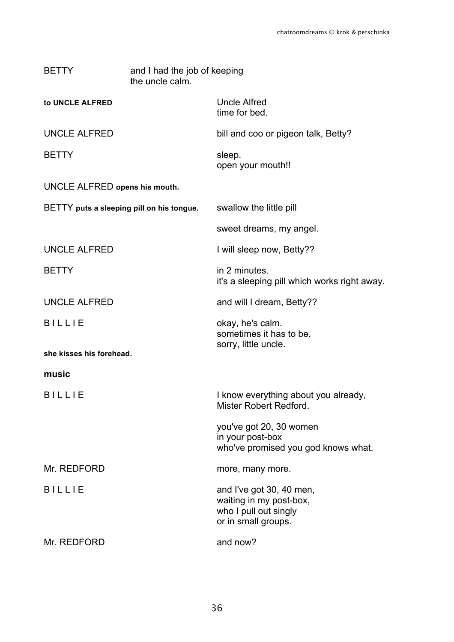| <b>BETTY</b>                              | and I had the job of keeping<br>the uncle calm. |                                                                                                     |  |
|-------------------------------------------|-------------------------------------------------|-----------------------------------------------------------------------------------------------------|--|
| to UNCLE ALFRED                           |                                                 | <b>Uncle Alfred</b><br>time for bed.                                                                |  |
| <b>UNCLE ALFRED</b>                       |                                                 | bill and coo or pigeon talk, Betty?                                                                 |  |
| <b>BETTY</b>                              |                                                 | sleep.<br>open your mouth!!                                                                         |  |
| UNCLE ALFRED opens his mouth.             |                                                 |                                                                                                     |  |
| BETTY puts a sleeping pill on his tongue. |                                                 | swallow the little pill                                                                             |  |
|                                           |                                                 | sweet dreams, my angel.                                                                             |  |
| <b>UNCLE ALFRED</b>                       |                                                 | I will sleep now, Betty??                                                                           |  |
| <b>BETTY</b>                              |                                                 | in 2 minutes.<br>it's a sleeping pill which works right away.                                       |  |
| <b>UNCLE ALFRED</b>                       |                                                 | and will I dream, Betty??                                                                           |  |
| <b>BILLIE</b>                             |                                                 | okay, he's calm.<br>sometimes it has to be.<br>sorry, little uncle.                                 |  |
| she kisses his forehead.                  |                                                 |                                                                                                     |  |
| music                                     |                                                 |                                                                                                     |  |
| <b>BILLIE</b>                             |                                                 | I know everything about you already,<br>Mister Robert Redford.                                      |  |
|                                           |                                                 | you've got 20, 30 women<br>in your post-box<br>who've promised you god knows what.                  |  |
| Mr. REDFORD                               |                                                 | more, many more.                                                                                    |  |
| <b>BILLIE</b>                             |                                                 | and I've got 30, 40 men,<br>waiting in my post-box,<br>who I pull out singly<br>or in small groups. |  |
| Mr. REDFORD                               |                                                 | and now?                                                                                            |  |
|                                           |                                                 |                                                                                                     |  |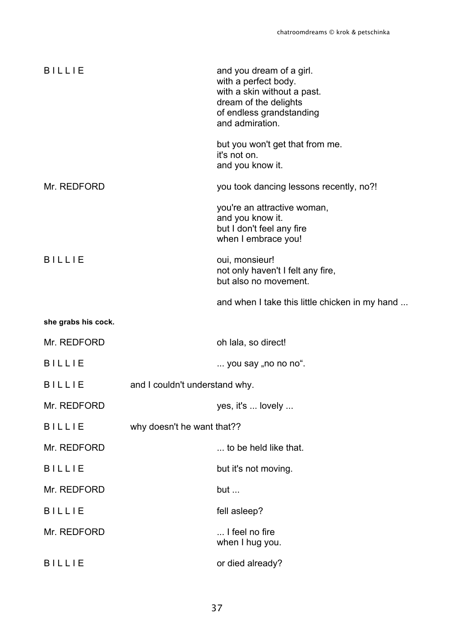| <b>BILLIE</b>       |                                | and you dream of a girl.<br>with a perfect body.<br>with a skin without a past.<br>dream of the delights<br>of endless grandstanding<br>and admiration. |
|---------------------|--------------------------------|---------------------------------------------------------------------------------------------------------------------------------------------------------|
|                     |                                | but you won't get that from me.<br>it's not on.<br>and you know it.                                                                                     |
| Mr. REDFORD         |                                | you took dancing lessons recently, no?!                                                                                                                 |
|                     |                                | you're an attractive woman,<br>and you know it.<br>but I don't feel any fire<br>when I embrace you!                                                     |
| <b>BILLIE</b>       |                                | oui, monsieur!<br>not only haven't I felt any fire,<br>but also no movement.                                                                            |
|                     |                                | and when I take this little chicken in my hand                                                                                                          |
| she grabs his cock. |                                |                                                                                                                                                         |
| Mr. REDFORD         |                                | oh lala, so direct!                                                                                                                                     |
| <b>BILLIE</b>       |                                | you say "no no no".                                                                                                                                     |
| <b>BILLIE</b>       | and I couldn't understand why. |                                                                                                                                                         |
| Mr. REDFORD         |                                | yes, it's  lovely                                                                                                                                       |
| <b>BILLIE</b>       | why doesn't he want that??     |                                                                                                                                                         |
| Mr. REDFORD         |                                | to be held like that.                                                                                                                                   |
| <b>BILLIE</b>       |                                | but it's not moving.                                                                                                                                    |
| Mr. REDFORD         |                                | but $\ldots$                                                                                                                                            |
| <b>BILLIE</b>       |                                | fell asleep?                                                                                                                                            |
| Mr. REDFORD         |                                | I feel no fire<br>when I hug you.                                                                                                                       |
| <b>BILLIE</b>       |                                | or died already?                                                                                                                                        |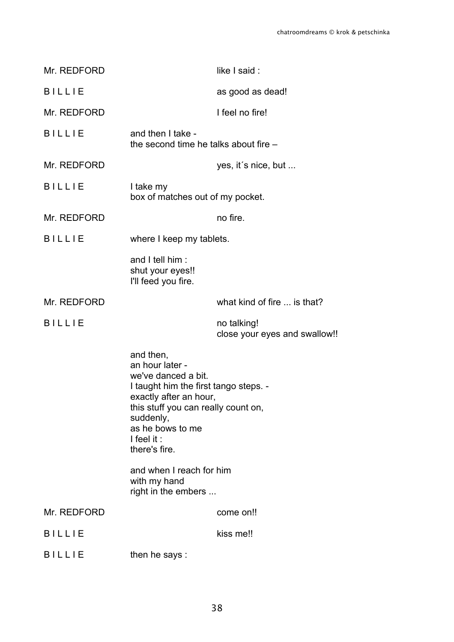| Mr. REDFORD   |                                                                                                                                                                                                                               | like I said:                                 |
|---------------|-------------------------------------------------------------------------------------------------------------------------------------------------------------------------------------------------------------------------------|----------------------------------------------|
| <b>BILLIE</b> |                                                                                                                                                                                                                               | as good as dead!                             |
| Mr. REDFORD   |                                                                                                                                                                                                                               | I feel no fire!                              |
| <b>BILLIE</b> | and then I take -<br>the second time he talks about fire -                                                                                                                                                                    |                                              |
| Mr. REDFORD   |                                                                                                                                                                                                                               | yes, it's nice, but                          |
| <b>BILLIE</b> | I take my<br>box of matches out of my pocket.                                                                                                                                                                                 |                                              |
| Mr. REDFORD   |                                                                                                                                                                                                                               | no fire.                                     |
| <b>BILLIE</b> | where I keep my tablets.                                                                                                                                                                                                      |                                              |
|               | and I tell him:<br>shut your eyes!!<br>I'll feed you fire.                                                                                                                                                                    |                                              |
| Mr. REDFORD   |                                                                                                                                                                                                                               | what kind of fire  is that?                  |
|               |                                                                                                                                                                                                                               |                                              |
| <b>BILLIE</b> |                                                                                                                                                                                                                               | no talking!<br>close your eyes and swallow!! |
|               | and then,<br>an hour later -<br>we've danced a bit.<br>I taught him the first tango steps. -<br>exactly after an hour,<br>this stuff you can really count on,<br>suddenly,<br>as he bows to me<br>I feel it:<br>there's fire. |                                              |
|               | and when I reach for him<br>with my hand<br>right in the embers                                                                                                                                                               |                                              |
| Mr. REDFORD   |                                                                                                                                                                                                                               | come on!!                                    |
| <b>BILLIE</b> |                                                                                                                                                                                                                               | kiss me!!                                    |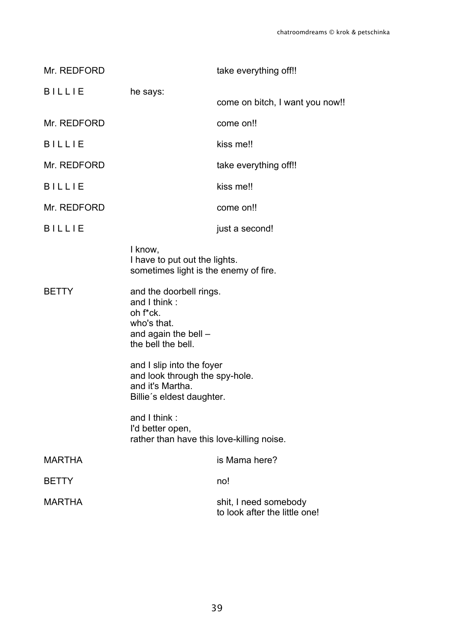| Mr. REDFORD   |                                                                                                                    | take everything off!!                                  |
|---------------|--------------------------------------------------------------------------------------------------------------------|--------------------------------------------------------|
| <b>BILLIE</b> | he says:                                                                                                           | come on bitch, I want you now!!                        |
| Mr. REDFORD   |                                                                                                                    | come on!!                                              |
| <b>BILLIE</b> |                                                                                                                    | kiss me!!                                              |
| Mr. REDFORD   |                                                                                                                    | take everything off!!                                  |
| <b>BILLIE</b> |                                                                                                                    | kiss me!!                                              |
| Mr. REDFORD   |                                                                                                                    | come on!!                                              |
| <b>BILLIE</b> |                                                                                                                    | just a second!                                         |
|               | I know,<br>I have to put out the lights.<br>sometimes light is the enemy of fire.                                  |                                                        |
| <b>BETTY</b>  | and the doorbell rings.<br>and I think:<br>oh f*ck.<br>who's that.<br>and again the bell $-$<br>the bell the bell. |                                                        |
|               | and I slip into the foyer<br>and look through the spy-hole.<br>and it's Martha.<br>Billie's eldest daughter.       |                                                        |
|               | and I think:<br>I'd better open,<br>rather than have this love-killing noise.                                      |                                                        |
| <b>MARTHA</b> |                                                                                                                    | is Mama here?                                          |
| <b>BETTY</b>  |                                                                                                                    | no!                                                    |
| <b>MARTHA</b> |                                                                                                                    | shit, I need somebody<br>to look after the little one! |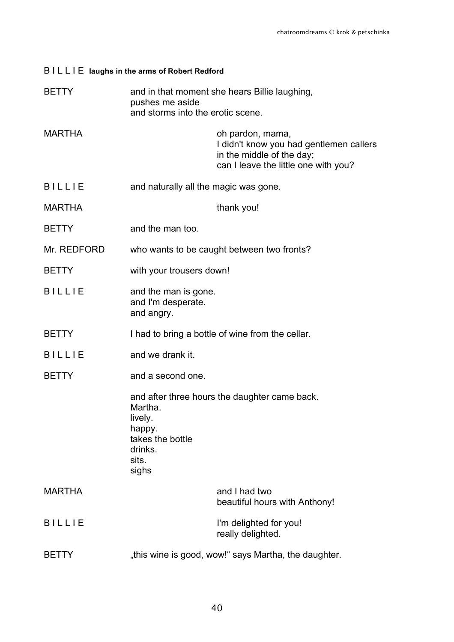| BILLIE laughs in the arms of Robert Redford                                                           |                                                                                                                                  |
|-------------------------------------------------------------------------------------------------------|----------------------------------------------------------------------------------------------------------------------------------|
| and in that moment she hears Billie laughing,<br>pushes me aside<br>and storms into the erotic scene. |                                                                                                                                  |
|                                                                                                       | oh pardon, mama,<br>I didn't know you had gentlemen callers<br>in the middle of the day;<br>can I leave the little one with you? |
| and naturally all the magic was gone.                                                                 |                                                                                                                                  |
|                                                                                                       | thank you!                                                                                                                       |
| and the man too.                                                                                      |                                                                                                                                  |
|                                                                                                       | who wants to be caught between two fronts?                                                                                       |
| with your trousers down!                                                                              |                                                                                                                                  |
| and the man is gone.<br>and I'm desperate.<br>and angry.                                              |                                                                                                                                  |
|                                                                                                       | I had to bring a bottle of wine from the cellar.                                                                                 |
| and we drank it.                                                                                      |                                                                                                                                  |
| and a second one.                                                                                     |                                                                                                                                  |
| Martha<br>lively.<br>happy.<br>takes the bottle<br>drinks.<br>sits.<br>sighs                          | and after three hours the daughter came back.                                                                                    |
|                                                                                                       | and I had two<br>beautiful hours with Anthony!                                                                                   |
|                                                                                                       | I'm delighted for you!<br>really delighted.                                                                                      |
|                                                                                                       | "this wine is good, wow!" says Martha, the daughter.                                                                             |
|                                                                                                       |                                                                                                                                  |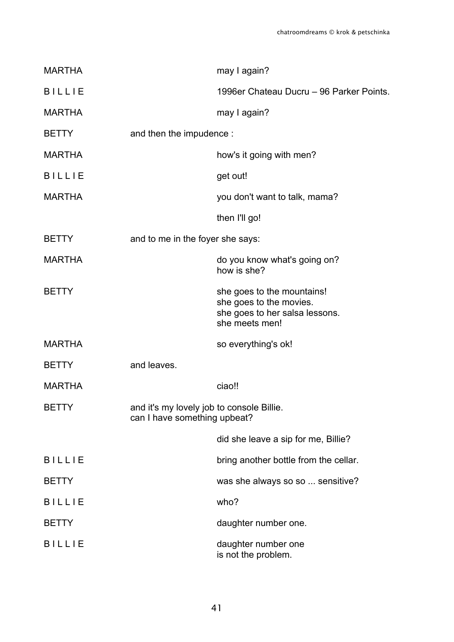| <b>MARTHA</b> |                                                                           | may I again?                                                                                              |
|---------------|---------------------------------------------------------------------------|-----------------------------------------------------------------------------------------------------------|
| <b>BILLIE</b> |                                                                           | 1996er Chateau Ducru - 96 Parker Points.                                                                  |
| <b>MARTHA</b> |                                                                           | may I again?                                                                                              |
| <b>BETTY</b>  | and then the impudence :                                                  |                                                                                                           |
| <b>MARTHA</b> |                                                                           | how's it going with men?                                                                                  |
| <b>BILLIE</b> |                                                                           | get out!                                                                                                  |
| <b>MARTHA</b> |                                                                           | you don't want to talk, mama?                                                                             |
|               |                                                                           | then I'll go!                                                                                             |
| <b>BETTY</b>  | and to me in the foyer she says:                                          |                                                                                                           |
| <b>MARTHA</b> |                                                                           | do you know what's going on?<br>how is she?                                                               |
| <b>BETTY</b>  |                                                                           | she goes to the mountains!<br>she goes to the movies.<br>she goes to her salsa lessons.<br>she meets men! |
| <b>MARTHA</b> |                                                                           | so everything's ok!                                                                                       |
| <b>BETTY</b>  | and leaves.                                                               |                                                                                                           |
| <b>MARTHA</b> |                                                                           | ciao!!                                                                                                    |
| <b>BETTY</b>  | and it's my lovely job to console Billie.<br>can I have something upbeat? |                                                                                                           |
|               |                                                                           | did she leave a sip for me, Billie?                                                                       |
| <b>BILLIE</b> |                                                                           | bring another bottle from the cellar.                                                                     |
| <b>BETTY</b>  |                                                                           | was she always so so  sensitive?                                                                          |
| <b>BILLIE</b> |                                                                           | who?                                                                                                      |
| <b>BETTY</b>  |                                                                           | daughter number one.                                                                                      |
| <b>BILLIE</b> |                                                                           | daughter number one<br>is not the problem.                                                                |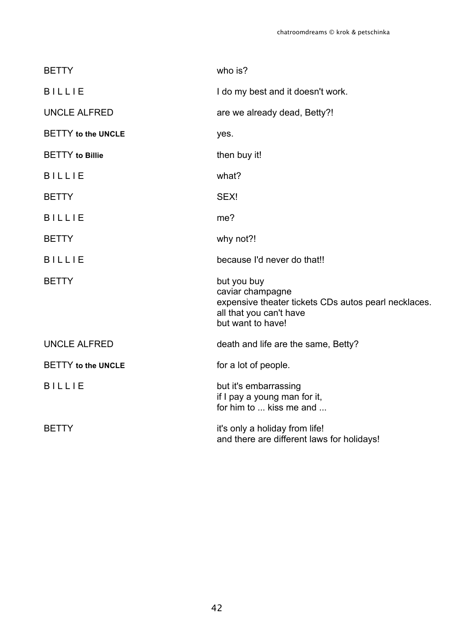| <b>BETTY</b>              | who is?                                                                                                                                 |
|---------------------------|-----------------------------------------------------------------------------------------------------------------------------------------|
| <b>BILLIE</b>             | I do my best and it doesn't work.                                                                                                       |
| <b>UNCLE ALFRED</b>       | are we already dead, Betty?!                                                                                                            |
| <b>BETTY</b> to the UNCLE | yes.                                                                                                                                    |
| <b>BETTY</b> to Billie    | then buy it!                                                                                                                            |
| <b>BILLIE</b>             | what?                                                                                                                                   |
| <b>BETTY</b>              | SEX!                                                                                                                                    |
| <b>BILLIE</b>             | me?                                                                                                                                     |
| <b>BETTY</b>              | why not?!                                                                                                                               |
| <b>BILLIE</b>             | because I'd never do that!!                                                                                                             |
| <b>BETTY</b>              | but you buy<br>caviar champagne<br>expensive theater tickets CDs autos pearl necklaces.<br>all that you can't have<br>but want to have! |
| <b>UNCLE ALFRED</b>       | death and life are the same, Betty?                                                                                                     |
| <b>BETTY</b> to the UNCLE | for a lot of people.                                                                                                                    |
| <b>BILLIE</b>             | but it's embarrassing<br>if I pay a young man for it,<br>for him to  kiss me and                                                        |
| <b>BETTY</b>              | it's only a holiday from life!<br>and there are different laws for holidays!                                                            |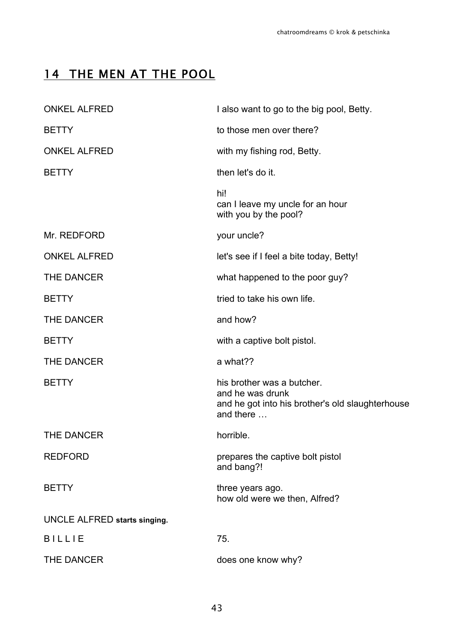# 14 THE MEN AT THE POOL

| <b>ONKEL ALFRED</b>          | I also want to go to the big pool, Betty.                                                                       |
|------------------------------|-----------------------------------------------------------------------------------------------------------------|
| <b>BETTY</b>                 | to those men over there?                                                                                        |
| <b>ONKEL ALFRED</b>          | with my fishing rod, Betty.                                                                                     |
| <b>BETTY</b>                 | then let's do it.                                                                                               |
|                              | hi!<br>can I leave my uncle for an hour<br>with you by the pool?                                                |
| Mr. REDFORD                  | your uncle?                                                                                                     |
| <b>ONKEL ALFRED</b>          | let's see if I feel a bite today, Betty!                                                                        |
| THE DANCER                   | what happened to the poor guy?                                                                                  |
| <b>BETTY</b>                 | tried to take his own life.                                                                                     |
| THE DANCER                   | and how?                                                                                                        |
| <b>BETTY</b>                 | with a captive bolt pistol.                                                                                     |
| THE DANCER                   | a what??                                                                                                        |
| <b>BETTY</b>                 | his brother was a butcher.<br>and he was drunk<br>and he got into his brother's old slaughterhouse<br>and there |
| <b>THE DANCER</b>            | horrible.                                                                                                       |
| <b>REDFORD</b>               | prepares the captive bolt pistol<br>and bang?!                                                                  |
| <b>BETTY</b>                 | three years ago.<br>how old were we then, Alfred?                                                               |
| UNCLE ALFRED starts singing. |                                                                                                                 |
| <b>BILLIE</b>                | 75.                                                                                                             |
| THE DANCER                   | does one know why?                                                                                              |
|                              |                                                                                                                 |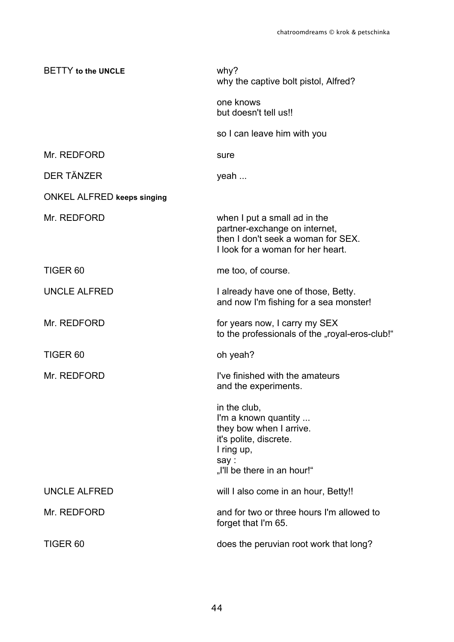| <b>BETTY</b> to the UNCLE         | why?<br>why the captive bolt pistol, Alfred?                                                                                                   |
|-----------------------------------|------------------------------------------------------------------------------------------------------------------------------------------------|
|                                   | one knows<br>but doesn't tell us!!                                                                                                             |
|                                   | so I can leave him with you                                                                                                                    |
| Mr. REDFORD                       | sure                                                                                                                                           |
| <b>DER TÄNZER</b>                 | yeah                                                                                                                                           |
| <b>ONKEL ALFRED keeps singing</b> |                                                                                                                                                |
| Mr. REDFORD                       | when I put a small ad in the<br>partner-exchange on internet,<br>then I don't seek a woman for SEX.<br>I look for a woman for her heart.       |
| TIGER <sub>60</sub>               | me too, of course.                                                                                                                             |
| <b>UNCLE ALFRED</b>               | I already have one of those, Betty.<br>and now I'm fishing for a sea monster!                                                                  |
| Mr. REDFORD                       | for years now, I carry my SEX<br>to the professionals of the "royal-eros-club!"                                                                |
| TIGER <sub>60</sub>               | oh yeah?                                                                                                                                       |
| Mr. REDFORD                       | I've finished with the amateurs<br>and the experiments.                                                                                        |
|                                   | in the club,<br>I'm a known quantity<br>they bow when I arrive.<br>it's polite, discrete.<br>I ring up,<br>say:<br>"I'll be there in an hour!" |
| <b>UNCLE ALFRED</b>               | will I also come in an hour, Betty!!                                                                                                           |
| Mr. REDFORD                       | and for two or three hours I'm allowed to<br>forget that I'm 65.                                                                               |
| TIGER <sub>60</sub>               | does the peruvian root work that long?                                                                                                         |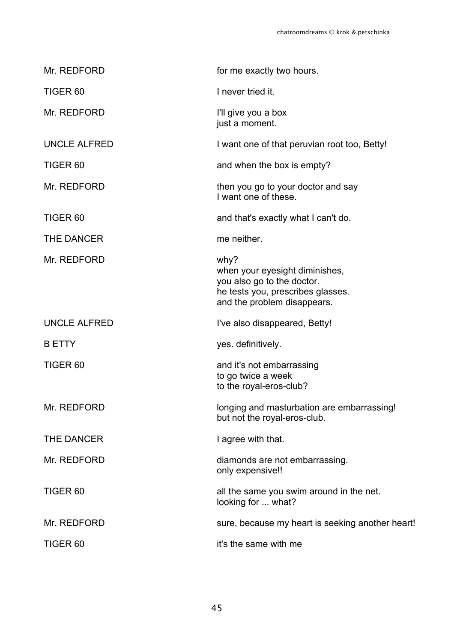| Mr. REDFORD         | for me exactly two hours.                                                                                                                |
|---------------------|------------------------------------------------------------------------------------------------------------------------------------------|
| TIGER <sub>60</sub> | I never tried it.                                                                                                                        |
| Mr. REDFORD         | I'll give you a box<br>just a moment.                                                                                                    |
| <b>UNCLE ALFRED</b> | I want one of that peruvian root too, Betty!                                                                                             |
| TIGER <sub>60</sub> | and when the box is empty?                                                                                                               |
| Mr. REDFORD         | then you go to your doctor and say<br>I want one of these.                                                                               |
| TIGER <sub>60</sub> | and that's exactly what I can't do.                                                                                                      |
| <b>THE DANCER</b>   | me neither.                                                                                                                              |
| Mr. REDFORD         | why?<br>when your eyesight diminishes,<br>you also go to the doctor.<br>he tests you, prescribes glasses.<br>and the problem disappears. |
| <b>UNCLE ALFRED</b> | I've also disappeared, Betty!                                                                                                            |
| <b>B ETTY</b>       | yes. definitively.                                                                                                                       |
| TIGER <sub>60</sub> | and it's not embarrassing<br>to go twice a week<br>to the royal-eros-club?                                                               |
| Mr. REDFORD         | longing and masturbation are embarrassing!<br>but not the royal-eros-club.                                                               |
| THE DANCER          | I agree with that.                                                                                                                       |
| Mr. REDFORD         | diamonds are not embarrassing.<br>only expensive!!                                                                                       |
| TIGER <sub>60</sub> | all the same you swim around in the net.<br>looking for  what?                                                                           |
| Mr. REDFORD         | sure, because my heart is seeking another heart!                                                                                         |
| TIGER <sub>60</sub> | it's the same with me                                                                                                                    |
|                     |                                                                                                                                          |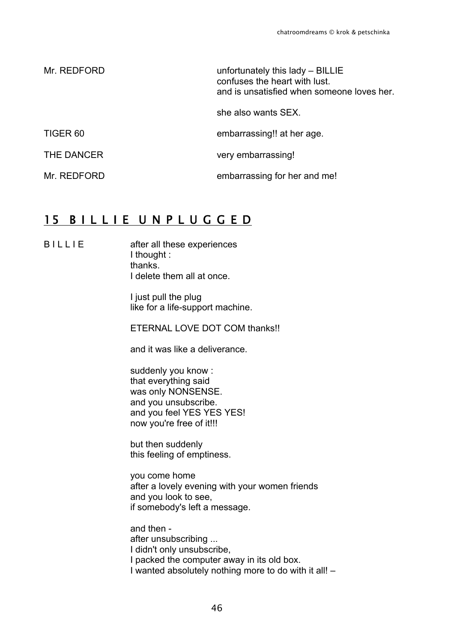| Mr. REDFORD | unfortunately this lady - BILLIE<br>confuses the heart with lust.<br>and is unsatisfied when someone loves her. |
|-------------|-----------------------------------------------------------------------------------------------------------------|
|             | she also wants SEX.                                                                                             |
| TIGER 60    | embarrassing!! at her age.                                                                                      |
| THE DANCER  | very embarrassing!                                                                                              |
| Mr. REDFORD | embarrassing for her and me!                                                                                    |

### 15 BILLIE UNPLUGGED

B I L L I E after all these experiences I thought : thanks. I delete them all at once.

> I just pull the plug like for a life-support machine.

ETERNAL LOVE DOT COM thanks!!

and it was like a deliverance.

suddenly you know : that everything said was only NONSENSE. and you unsubscribe. and you feel YES YES YES! now you're free of it!!!

but then suddenly this feeling of emptiness.

you come home after a lovely evening with your women friends and you look to see, if somebody's left a message.

and then after unsubscribing ... I didn't only unsubscribe, I packed the computer away in its old box. I wanted absolutely nothing more to do with it all! –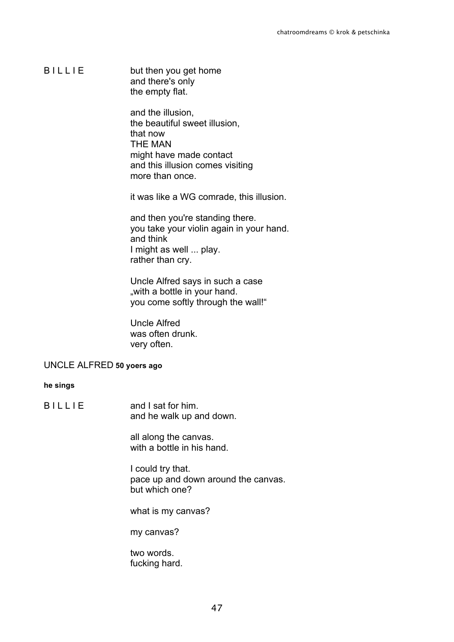B I L L I E but then you get home and there's only the empty flat.

> and the illusion, the beautiful sweet illusion, that now THE MAN might have made contact and this illusion comes visiting more than once.

it was like a WG comrade, this illusion.

and then you're standing there. you take your violin again in your hand. and think I might as well ... play. rather than cry.

Uncle Alfred says in such a case "with a bottle in your hand. you come softly through the wall!"

Uncle Alfred was often drunk. very often.

### UNCLE ALFRED **50 yoers ago**

**he sings**

B I L L I E and I sat for him. and he walk up and down.

> all along the canvas. with a bottle in his hand.

I could try that. pace up and down around the canvas. but which one?

what is my canvas?

my canvas?

two words. fucking hard.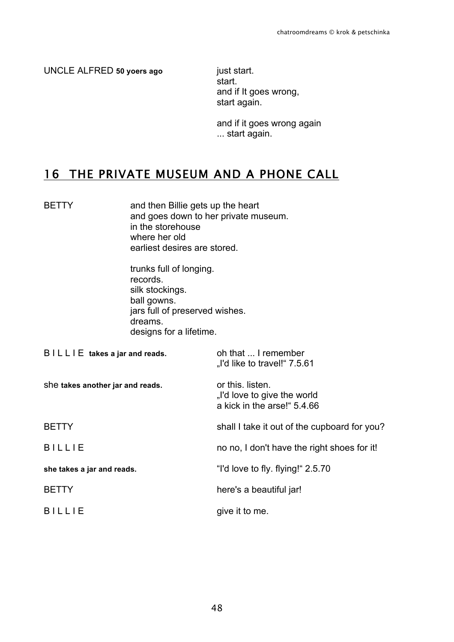UNCLE ALFRED **50 yoers ago** just start.

start. and if It goes wrong, start again.

and if it goes wrong again ... start again.

# 16 THE PRIVATE MUSEUM AND A PHONE CALL

BETTY and then Billie gets up the heart and goes down to her private museum. in the storehouse where her old earliest desires are stored.

> trunks full of longing. records. silk stockings. ball gowns. jars full of preserved wishes. dreams. designs for a lifetime.

| $BILLLIE$ takes a jar and reads. | oh that  I remember<br>Td like to travel!" 7.5.61                              |
|----------------------------------|--------------------------------------------------------------------------------|
| she takes another jar and reads. | or this, listen.<br>"I'd love to give the world<br>a kick in the arse!" 5.4.66 |
| <b>BETTY</b>                     | shall I take it out of the cupboard for you?                                   |
| <b>BILLIE</b>                    | no no, I don't have the right shoes for it!                                    |
| she takes a jar and reads.       | "I'd love to fly. flying!" 2.5.70                                              |
| <b>BETTY</b>                     | here's a beautiful jar!                                                        |
| <b>BILLIE</b>                    | give it to me.                                                                 |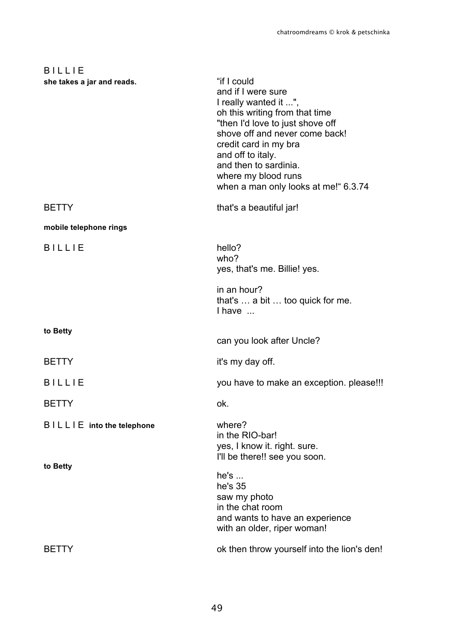| <b>BILLIE</b>              |                                                                                                                                                                                                                                                                                                          |
|----------------------------|----------------------------------------------------------------------------------------------------------------------------------------------------------------------------------------------------------------------------------------------------------------------------------------------------------|
| she takes a jar and reads. | "if I could<br>and if I were sure<br>I really wanted it ",<br>oh this writing from that time<br>"then I'd love to just shove off<br>shove off and never come back!<br>credit card in my bra<br>and off to italy.<br>and then to sardinia.<br>where my blood runs<br>when a man only looks at me!" 6.3.74 |
| <b>BETTY</b>               | that's a beautiful jar!                                                                                                                                                                                                                                                                                  |
| mobile telephone rings     |                                                                                                                                                                                                                                                                                                          |
| <b>BILLIE</b>              | hello?<br>who?<br>yes, that's me. Billie! yes.                                                                                                                                                                                                                                                           |
|                            | in an hour?<br>that's  a bit  too quick for me.<br>I have                                                                                                                                                                                                                                                |
| to Betty                   | can you look after Uncle?                                                                                                                                                                                                                                                                                |
| <b>BETTY</b>               | it's my day off.                                                                                                                                                                                                                                                                                         |
| <b>BILLIE</b>              | you have to make an exception. please!!!                                                                                                                                                                                                                                                                 |
| <b>BETTY</b>               | ok.                                                                                                                                                                                                                                                                                                      |
| BILLIE into the telephone  | where?<br>in the RIO-bar!<br>yes, I know it. right. sure.<br>I'll be there!! see you soon.                                                                                                                                                                                                               |
| to Betty                   | he's<br>he's 35<br>saw my photo<br>in the chat room<br>and wants to have an experience<br>with an older, riper woman!                                                                                                                                                                                    |
| <b>BETTY</b>               | ok then throw yourself into the lion's den!                                                                                                                                                                                                                                                              |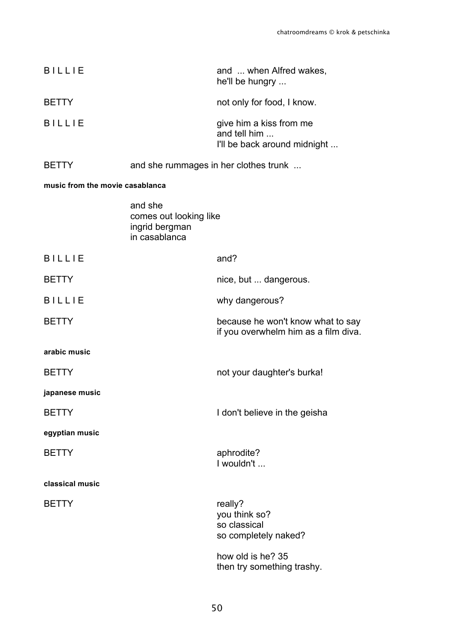| BILI I F                        |                                       | and  when Alfred wakes,<br>he'll be hungry                              |
|---------------------------------|---------------------------------------|-------------------------------------------------------------------------|
| <b>BETTY</b>                    |                                       | not only for food, I know.                                              |
| <b>BILLIF</b>                   |                                       | give him a kiss from me<br>and tell him<br>I'll be back around midnight |
| BE LTY                          | and she rummages in her clothes trunk |                                                                         |
| music from the movie casablanca |                                       |                                                                         |
|                                 | and she                               |                                                                         |

|                 | comes out looking like<br>ingrid bergman<br>in casablanca |                                                                           |
|-----------------|-----------------------------------------------------------|---------------------------------------------------------------------------|
| <b>BILLIE</b>   |                                                           | and?                                                                      |
| <b>BETTY</b>    |                                                           | nice, but  dangerous.                                                     |
| <b>BILLIE</b>   |                                                           | why dangerous?                                                            |
| <b>BETTY</b>    |                                                           | because he won't know what to say<br>if you overwhelm him as a film diva. |
| arabic music    |                                                           |                                                                           |
| <b>BETTY</b>    |                                                           | not your daughter's burka!                                                |
| japanese music  |                                                           |                                                                           |
| <b>BETTY</b>    |                                                           | I don't believe in the geisha                                             |
| egyptian music  |                                                           |                                                                           |
| <b>BETTY</b>    |                                                           | aphrodite?<br>I wouldn't                                                  |
| classical music |                                                           |                                                                           |
| <b>BETTY</b>    |                                                           | really?<br>you think so?<br>so classical<br>so completely naked?          |
|                 |                                                           | how old is he? 35<br>then try something trashy.                           |